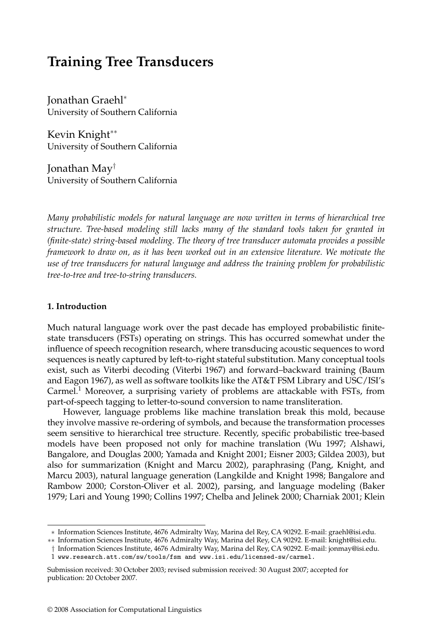# **Training Tree Transducers**

Jonathan Graehl<sup>∗</sup> University of Southern California

Kevin Knight∗∗ University of Southern California

Jonathan May† University of Southern California

*Many probabilistic models for natural language are now written in terms of hierarchical tree structure. Tree-based modeling still lacks many of the standard tools taken for granted in (finite-state) string-based modeling. The theory of tree transducer automata provides a possible framework to draw on, as it has been worked out in an extensive literature. We motivate the use of tree transducers for natural language and address the training problem for probabilistic tree-to-tree and tree-to-string transducers.*

# **1. Introduction**

Much natural language work over the past decade has employed probabilistic finitestate transducers (FSTs) operating on strings. This has occurred somewhat under the influence of speech recognition research, where transducing acoustic sequences to word sequences is neatly captured by left-to-right stateful substitution. Many conceptual tools exist, such as Viterbi decoding (Viterbi 1967) and forward–backward training (Baum and Eagon 1967), as well as software toolkits like the AT&T FSM Library and USC/ISI's Carmel.<sup>1</sup> Moreover, a surprising variety of problems are attackable with FSTs, from part-of-speech tagging to letter-to-sound conversion to name transliteration.

However, language problems like machine translation break this mold, because they involve massive re-ordering of symbols, and because the transformation processes seem sensitive to hierarchical tree structure. Recently, specific probabilistic tree-based models have been proposed not only for machine translation (Wu 1997; Alshawi, Bangalore, and Douglas 2000; Yamada and Knight 2001; Eisner 2003; Gildea 2003), but also for summarization (Knight and Marcu 2002), paraphrasing (Pang, Knight, and Marcu 2003), natural language generation (Langkilde and Knight 1998; Bangalore and Rambow 2000; Corston-Oliver et al. 2002), parsing, and language modeling (Baker 1979; Lari and Young 1990; Collins 1997; Chelba and Jelinek 2000; Charniak 2001; Klein

<sup>∗</sup> Information Sciences Institute, 4676 Admiralty Way, Marina del Rey, CA 90292. E-mail: graehl@isi.edu.

<sup>∗∗</sup> Information Sciences Institute, 4676 Admiralty Way, Marina del Rey, CA 90292. E-mail: knight@isi.edu.

<sup>†</sup> Information Sciences Institute, 4676 Admiralty Way, Marina del Rey, CA 90292. E-mail: jonmay@isi.edu. 1 www.research.att.com/sw/tools/fsm and www.isi.edu/licensed-sw/carmel.

Submission received: 30 October 2003; revised submission received: 30 August 2007; accepted for publication: 20 October 2007.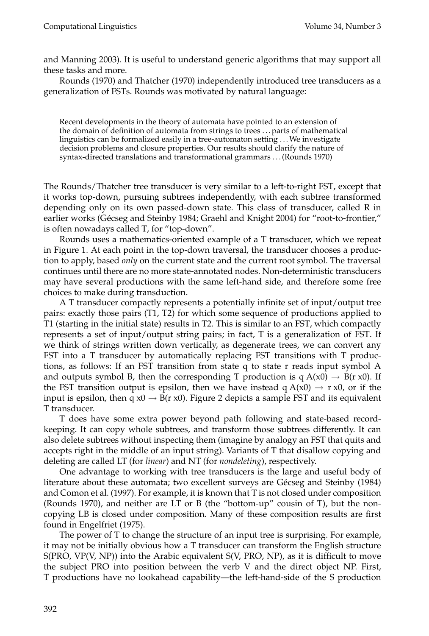and Manning 2003). It is useful to understand generic algorithms that may support all these tasks and more.

Rounds (1970) and Thatcher (1970) independently introduced tree transducers as a generalization of FSTs. Rounds was motivated by natural language:

Recent developments in the theory of automata have pointed to an extension of the domain of definition of automata from strings to trees . . . parts of mathematical linguistics can be formalized easily in a tree-automaton setting . . .We investigate decision problems and closure properties. Our results should clarify the nature of syntax-directed translations and transformational grammars . . . (Rounds 1970)

The Rounds/Thatcher tree transducer is very similar to a left-to-right FST, except that it works top-down, pursuing subtrees independently, with each subtree transformed depending only on its own passed-down state. This class of transducer, called R in earlier works (Gécseg and Steinby 1984; Graehl and Knight 2004) for "root-to-frontier," is often nowadays called T, for "top-down".

Rounds uses a mathematics-oriented example of a T transducer, which we repeat in Figure 1. At each point in the top-down traversal, the transducer chooses a production to apply, based *only* on the current state and the current root symbol. The traversal continues until there are no more state-annotated nodes. Non-deterministic transducers may have several productions with the same left-hand side, and therefore some free choices to make during transduction.

A T transducer compactly represents a potentially infinite set of input/output tree pairs: exactly those pairs (T1, T2) for which some sequence of productions applied to T1 (starting in the initial state) results in T2. This is similar to an FST, which compactly represents a set of input/output string pairs; in fact, T is a generalization of FST. If we think of strings written down vertically, as degenerate trees, we can convert any FST into a T transducer by automatically replacing FST transitions with T productions, as follows: If an FST transition from state q to state r reads input symbol A and outputs symbol B, then the corresponding T production is  $q A(x0) \rightarrow B(r x0)$ . If the FST transition output is epsilon, then we have instead  $q A(x0) \rightarrow r x0$ , or if the input is epsilon, then q  $x0 \rightarrow B(r x 0)$ . Figure 2 depicts a sample FST and its equivalent T transducer.

T does have some extra power beyond path following and state-based recordkeeping. It can copy whole subtrees, and transform those subtrees differently. It can also delete subtrees without inspecting them (imagine by analogy an FST that quits and accepts right in the middle of an input string). Variants of T that disallow copying and deleting are called LT (for *linear*) and NT (for *nondeleting*), respectively.

One advantage to working with tree transducers is the large and useful body of literature about these automata; two excellent surveys are Gécseg and Steinby (1984) and Comon et al. (1997). For example, it is known that T is not closed under composition (Rounds 1970), and neither are LT or B (the "bottom-up" cousin of T), but the noncopying LB is closed under composition. Many of these composition results are first found in Engelfriet (1975).

The power of T to change the structure of an input tree is surprising. For example, it may not be initially obvious how a T transducer can transform the English structure  $S(PRO, VP(V, NP))$  into the Arabic equivalent  $S(V, PRO, NP)$ , as it is difficult to move the subject PRO into position between the verb V and the direct object NP. First, T productions have no lookahead capability—the left-hand-side of the S production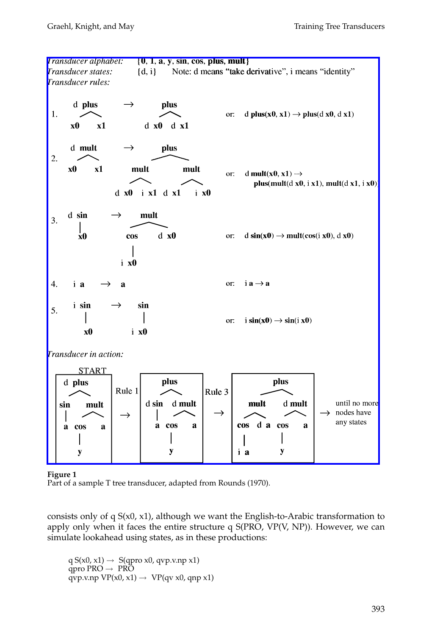

#### **Figure 1**

Part of a sample T tree transducer, adapted from Rounds (1970).

consists only of q  $S(x0, x1)$ , although we want the English-to-Arabic transformation to apply only when it faces the entire structure q  $S(PRO, VP(V, NP))$ . However, we can simulate lookahead using states, as in these productions:

q  $S(x0, x1) \rightarrow S(qpro x0, qvp.v.np x1)$ qpro PRO  $\rightarrow$  PRO  $qvp.v.np VP(x0, x1) \rightarrow VP(qv x0, qnp x1)$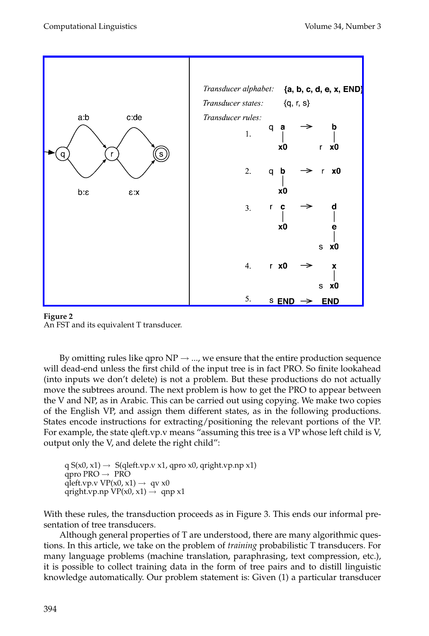[Computational Linguistics Volume 34, Num](http://www.mitpressjournals.org/action/showImage?doi=10.1162/coli.2008.07-051-R2-03-57&iName=master.img-001.png&w=362&h=282)ber 3



**Figure 2** An FST and its equivalent T transducer.

By omitting rules like qpro  $NP \rightarrow ...$ , we ensure that the entire production sequence will dead-end unless the first child of the input tree is in fact PRO. So finite lookahead (into inputs we don't delete) is not a problem. But these productions do not actually move the subtrees around. The next problem is how to get the PRO to appear between the V and NP, as in Arabic. This can be carried out using copying. We make two copies of the English VP, and assign them different states, as in the following productions. States encode instructions for extracting/positioning the relevant portions of the VP. For example, the state qleft.vp.v means "assuming this tree is a VP whose left child is V, output only the V, and delete the right child":

 $q S(x0, x1) \rightarrow S(qleft, v x1, qpro x0, qright, v p x1)$ qpro PRO  $\rightarrow$  PRO qleft.vp.v VP(x0, x1)  $\rightarrow$  qv x0 qright.vp.np  $VP(x0, x1) \rightarrow$  qnp x1

With these rules, the transduction proceeds as in Figure 3. This ends our informal presentation of tree transducers.

Although general properties of T are understood, there are many algorithmic questions. In this article, we take on the problem of *training* probabilistic T transducers. For many language problems (machine translation, paraphrasing, text compression, etc.), it is possible to collect training data in the form of tree pairs and to distill linguistic knowledge automatically. Our problem statement is: Given (1) a particular transducer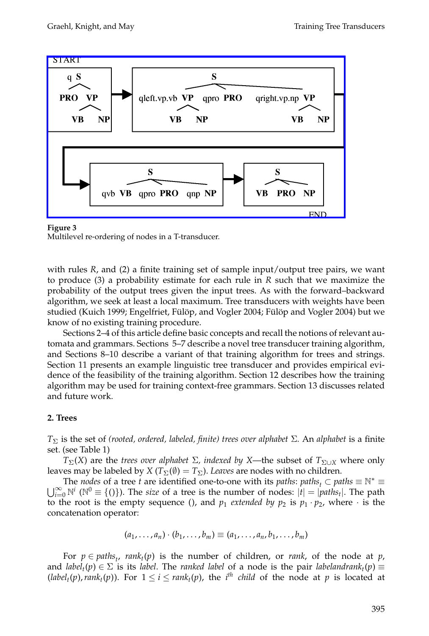[Graehl, Knight, and May Training Tree T](http://www.mitpressjournals.org/action/showImage?doi=10.1162/coli.2008.07-051-R2-03-57&iName=master.img-002.png&w=337&h=182)ransducers



**Figure 3** Multilevel re-ordering of nodes in a T-transducer.

with rules *R*, and (2) a finite training set of sample input/output tree pairs, we want to produce (3) a probability estimate for each rule in *R* such that we maximize the probability of the output trees given the input trees. As with the forward–backward algorithm, we seek at least a local maximum. Tree transducers with weights have been studied (Kuich 1999; Engelfriet, Fülöp, and Vogler 2004; Fülöp and Vogler 2004) but we know of no existing training procedure.

Sections 2–4 of this article define basic concepts and recall the notions of relevant automata and grammars. Sections 5–7 describe a novel tree transducer training algorithm, and Sections 8–10 describe a variant of that training algorithm for trees and strings. Section 11 presents an example linguistic tree transducer and provides empirical evidence of the feasibility of the training algorithm. Section 12 describes how the training algorithm may be used for training context-free grammars. Section 13 discusses related and future work.

# **2. Trees**

*T*<sup>Σ</sup> is the set of *(rooted, ordered, labeled, finite) trees over alphabet* Σ*.* An *alphabet* is a finite set. (see Table 1)

*T*<sub>Σ</sub>(*X*) are the *trees over alphabet Σ, indexed by X—the subset of*  $T_{\Sigma \cup X}$  where only leaves may be labeled by *X* ( $T_{\Sigma}(\emptyset) = T_{\Sigma}$ ). *Leaves* are nodes with no children.<br>The *nodes* of a tree *t* are identified one-to-one with its *paths*: *paths*,  $\subset$  *paths*  $\equiv$   $\mathbb{N}^*$   $\equiv$ 

The *nodes* of a tree *t* are identified one-to-one with its *paths*: *paths*<sub>t</sub>  $\subset$  *paths*  $\equiv \mathbb{N}^* \equiv \bigcup_{i=0}^{\infty} \mathbb{N}^i$  ( $\mathbb{N}^0 \equiv \{()\}$ ). The *size* of a tree is the number of nodes:  $|t| = |paths_t|$ . The path to the root is the empty sequence (), and  $p_1$  *extended by*  $p_2$  is  $p_1 \cdot p_2$ , where  $\cdot$  is the concatenation operator:

$$
(a_1,\ldots,a_n)\cdot (b_1,\ldots,b_m)\equiv (a_1,\ldots,a_n,b_1,\ldots,b_m)
$$

For  $p \in paths_t$ ,  $rank_t(p)$  is the number of children, or *rank*, of the node at *p*, and *label<sub>t</sub>*( $p$ )  $\in \Sigma$  is its *label*. The *ranked label* of a node is the pair *labelandrank<sub>t</sub>*( $p$ )  $\equiv$  $(label<sub>t</sub>(p), rank<sub>t</sub>(p))$ . For  $1 \le i \le rank<sub>t</sub>(p)$ , the *i*<sup>th</sup> *child* of the node at *p* is located at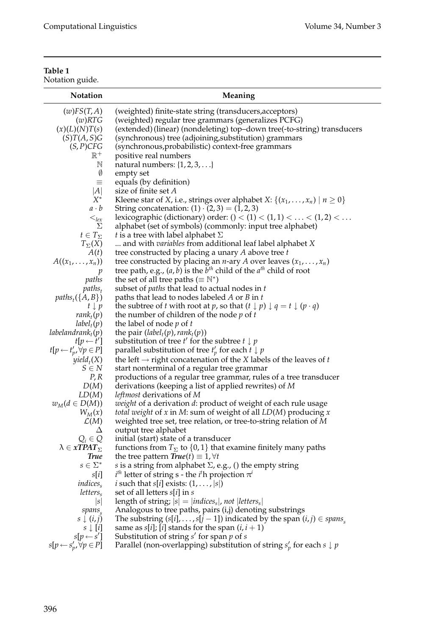# **Table 1**

Notation guide.

| Notation                                | Meaning                                                                                             |
|-----------------------------------------|-----------------------------------------------------------------------------------------------------|
| (w)FS(T,A)                              | (weighted) finite-state string (transducers, acceptors)                                             |
| (w)RTG                                  | (weighted) regular tree grammars (generalizes PCFG)                                                 |
| (x)(L)(N)T(s)                           | (extended) (linear) (nondeleting) top-down tree(-to-string) transducers                             |
| (S)T(A, S)G                             | (synchronous) tree (adjoining, substitution) grammars                                               |
| $(S, P)$ CFG                            | (synchronous, probabilistic) context-free grammars                                                  |
| $\mathbb{R}^+$                          | positive real numbers                                                                               |
| N<br>Ø                                  | natural numbers: $\{1, 2, 3, \ldots\}$                                                              |
| $\equiv$                                | empty set<br>equals (by definition)                                                                 |
| A                                       | size of finite set A                                                                                |
| $X^*$                                   | Kleene star of <i>X</i> , i.e., strings over alphabet <i>X</i> : {( $x_1$ , , $x_n$ )   $n \ge 0$ } |
| $a \cdot b$                             | String concatenation: $(1) \cdot (2,3) = (1,2,3)$                                                   |
| $\leq_{lex}$                            | lexicographic (dictionary) order: $() < (1) < (1, 1) <  < (1, 2) < $                                |
| Σ                                       | alphabet (set of symbols) (commonly: input tree alphabet)                                           |
| $t \in T_{\Sigma}$                      | <i>t</i> is a tree with label alphabet $\Sigma$                                                     |
| $T_{\Sigma}(X)$                         | and with <i>variables</i> from additional leaf label alphabet X                                     |
| A(t)                                    | tree constructed by placing a unary $A$ above tree $t$                                              |
| $A((x_1,,x_n))$                         | tree constructed by placing an <i>n</i> -ary <i>A</i> over leaves $(x_1, \ldots, x_n)$              |
| p                                       | tree path, e.g., $(a, b)$ is the $bth$ child of the $ath$ child of root                             |
| paths                                   | the set of all tree paths ( $\equiv \mathbb{N}^*$ )                                                 |
| $paths_t$                               | subset of <i>paths</i> that lead to actual nodes in t                                               |
| $paths_t(\lbrace A, B \rbrace)$         | paths that lead to nodes labeled $A$ or $B$ in $t$                                                  |
| $t \downarrow p$                        | the subtree of t with root at p, so that $(t \downarrow p) \downarrow q = t \downarrow (p \cdot q)$ |
| $rank_t(p)$                             | the number of children of the node $p$ of $t$                                                       |
| $label_t(p)$                            | the label of node $p$ of $t$                                                                        |
| labelandran $k_t(p)$                    | the pair $(labelt(p)$ , rank <sub>t</sub> (p))                                                      |
| $t[p \leftarrow t']$                    | substitution of tree $t'$ for the subtree $t \downarrow p$                                          |
| $t[p \leftarrow t'_p, \forall p \in P]$ | parallel substitution of tree $t'_p$ for each $t \downarrow p$                                      |
| $yield_t(X)$                            | the left $\rightarrow$ right concatenation of the X labels of the leaves of t                       |
| $S \in N$                               | start nonterminal of a regular tree grammar                                                         |
| P, R<br>D(M)                            | productions of a regular tree grammar, rules of a tree transducer                                   |
| LD(M)                                   | derivations (keeping a list of applied rewrites) of $M$<br><i>leftmost</i> derivations of M         |
| $w_M(d \in D(M))$                       | weight of a derivation d: product of weight of each rule usage                                      |
| $W_M(x)$                                | <i>total weight</i> of $x$ in $M$ : sum of weight of all $LD(M)$ producing $x$                      |
| $\mathcal{L}(M)$                        | weighted tree set, tree relation, or tree-to-string relation of M                                   |
| Δ                                       | output tree alphabet                                                                                |
| $Q_i \in Q$                             | initial (start) state of a transducer                                                               |
| $\lambda \in xTPAT_{\Sigma}$            | functions from $T_{\Sigma}$ to {0,1} that examine finitely many paths                               |
| <b>True</b>                             | the tree pattern $\text{True}(t) \equiv 1, \forall t$                                               |
| $s\in \Sigma^*$                         | s is a string from alphabet $\Sigma$ , e.g., () the empty string                                    |
| s[i]                                    | $i^{th}$ letter of string s - the $i^{th}$ projection $\pi^{i}$                                     |
| indices <sub>s</sub>                    | <i>i</i> such that $s[i]$ exists: $(1, \ldots,  s )$                                                |
| letters <sub>s</sub>                    | set of all letters $s[i]$ in $s$                                                                    |
| s                                       | length of string; $ s  =  indices_s $ , not $ letters_s $                                           |
| $spans_{s}$                             | Analogous to tree paths, pairs (i,j) denoting substrings                                            |
| $s \downarrow (i,j)$                    | The substring $(s[i], \ldots, s[j-1])$ indicated by the span $(i, j) \in \text{spans}_{s}$          |
| $s \downarrow [i]$                      | same as $s[i]$ ; [ <i>i</i> ] stands for the span $(i, i + 1)$                                      |
| $s[p \leftarrow s']$                    | Substitution of string $s'$ for span $p$ of $s$                                                     |
| $s[p \leftarrow s'_p, \forall p \in P]$ | Parallel (non-overlapping) substitution of string $s'_p$ for each $s \downarrow p$                  |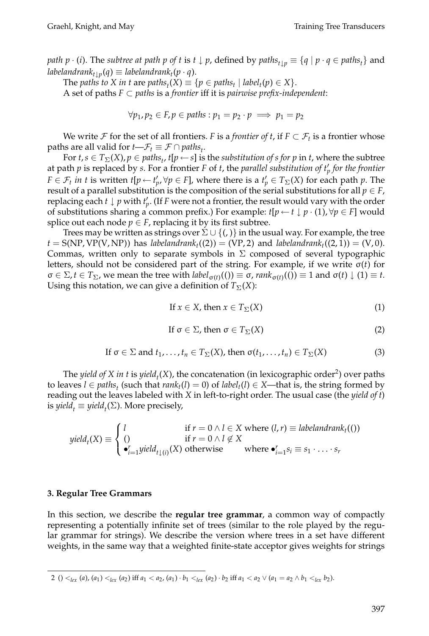*path p*  $\cdot$  (*i*). The *subtree at path p of t* is *t*  $\downarrow$  *p*, defined by  $paths_{t\downarrow p} \equiv \{q \mid p \cdot q \in paths_{t}\}$  and  $labeland rank_t{}_{t\downarrow p}(q) \equiv label and rank_t(p \cdot q).$ 

The *paths to X* in *t* are *paths*<sub>*t*</sub>(*X*)  $\equiv \{p \in paths_t | label_t(p) \in X\}.$ 

A set of paths *F* ⊂ *paths* is a *frontier* iff it is *pairwise prefix-independent*:

$$
\forall p_1, p_2 \in F, p \in paths : p_1 = p_2 \cdot p \implies p_1 = p_2
$$

We write F for the set of all frontiers. *F* is a *frontier of t*, if  $F \subset \mathcal{F}_t$  is a frontier whose paths are all valid for *t—* $\mathcal{F}_t \equiv \mathcal{F} \cap paths_t$ *.* 

For  $t$ ,  $s \in T_{\Sigma}(X)$ ,  $p \in paths_t$ ,  $t[p \leftarrow s]$  is the *substitution of s for p* in *t*, where the subtree at path *p* is replaced by *s*. For a frontier *F* of *t*, the *parallel substitution of t <sup>p</sup> for the frontier*  $F \in \mathcal{F}_t$  *in t* is written *t*[ $p \leftarrow t'_p$ ,  $\forall p \in F$ ], where there is a  $t'_p \in T_\Sigma(X)$  for each path  $p$ . The result of a parallel substitution is the composition of the serial substitutions for all  $p \in F$ , replacing each *t* ↓ *p* with *t <sup>p</sup>*. ( If *F* were not a frontier, the result would vary with the order of substitutions sharing a common prefix.) For example:  $t[p \leftarrow t \downarrow p \cdot (1), \forall p \in F]$  would splice out each node  $p \in F$ , replacing it by its first subtree.

Trees may be written as strings over  $\Sigma \cup \{()\}$  in the usual way. For example, the tree  $t = S(NP, VP(V, NP))$  has *labelandrank*<sub>t</sub>((2)) = (VP, 2) and *labelandrank*<sub>t</sub>((2, 1)) = (V, 0). Commas, written only to separate symbols in  $\Sigma$  composed of several typographic letters, should not be considered part of the string. For example, if we write σ(*t*) for  $\sigma \in \Sigma$ ,  $t \in T_{\Sigma}$ , we mean the tree with  $label_{\sigma(t)}((\sigma) \equiv \sigma$ ,  $rank_{\sigma(t)}((\sigma)) \equiv 1$  and  $\sigma(t) \downarrow (1) \equiv t$ . Using this notation, we can give a definition of  $T_{\Sigma}(X)$ :

If 
$$
x \in X
$$
, then  $x \in T_{\Sigma}(X)$  (1)

If 
$$
\sigma \in \Sigma
$$
, then  $\sigma \in T_{\Sigma}(X)$  (2)

If 
$$
\sigma \in \Sigma
$$
 and  $t_1, \ldots, t_n \in T_{\Sigma}(X)$ , then  $\sigma(t_1, \ldots, t_n) \in T_{\Sigma}(X)$  (3)

The *yield of X in t* is *yield<sub>t</sub>*(*X*), the concatenation (in lexicographic order<sup>2</sup>) over paths to leaves *l* ∈ *paths<sub>t</sub>* (such that  $rank<sub>t</sub>(l) = 0$ ) of *label<sub>t</sub>*(*l*) ∈ *X*—that is, the string formed by reading out the leaves labeled with *X* in left-to-right order. The usual case (the *yield of t*) is *yield<sub>t</sub>*  $\equiv$  *yield<sub>t</sub>*( $\Sigma$ ). More precisely,

$$
yield_t(X) \equiv \begin{cases} l & \text{if } r = 0 \land l \in X \text{ where } (l, r) \equiv \text{labeland} \\ () & \text{if } r = 0 \land l \notin X \\ \bullet_{i=1}^r yield_{t\downarrow(i)}(X) \text{ otherwise} & \text{where } \bullet_{i=1}^r s_i \equiv s_1 \cdot \ldots \cdot s_r \end{cases}
$$

#### **3. Regular Tree Grammars**

In this section, we describe the **regular tree grammar**, a common way of compactly representing a potentially infinite set of trees (similar to the role played by the regular grammar for strings). We describe the version where trees in a set have different weights, in the same way that a weighted finite-state acceptor gives weights for strings

<sup>2 () &</sup>lt;  $\langle e_1, a_2 \rangle$  (a), (a<sub>1</sub>) <  $\langle e_1, a_2 \rangle$  iff  $a_1 < a_2$ , (a<sub>1</sub>) ·  $b_1 <_{lex} (a_2)$  ·  $b_2$  iff  $a_1 < a_2 \vee (a_1 = a_2 \wedge b_1 <_{lex} b_2)$ .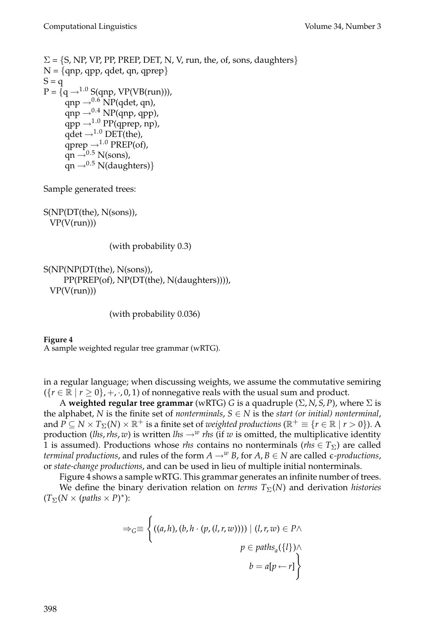```
\Sigma = \{S, NP, VP, PP, PREF, DET, N, V, run, the, of, sons, daughters\}N = \{qp, qpp, qdet, qn, qprep\}S = qP = \{q \rightarrow^{1.0} S(qnp, VP(VB(run))),qnp \rightarrow<sup>0.6</sup> NP(qdet, qn),
       qnp \rightarrow<sup>0.4</sup> NP(qnp, qpp),
       qpp \rightarrow^{1.0} PP(qprep, np),qdet \rightarrow ^{1.0} DET(the),
       qprep \rightarrow<sup>1.0</sup> PREP(of),
       qn \rightarrow 0.5 N(sons),
       qn \rightarrow 0.5 N(daughters)}
```
Sample generated trees:

S(NP(DT(the), N(sons)),  $VP(V(run))$ 

(with probability 0.3)

```
S(NP(NP(DT(the), N(sons)),
    PP(PREP(of), NP(DT(the), N(daughters)))),
 VP(V(run))
```
(with probability 0.036)

#### **Figure 4**

A sample weighted regular tree grammar (wRTG).

in a regular language; when discussing weights, we assume the commutative semiring  $({r \in \mathbb{R} \mid r \ge 0}, +, \cdot, 0, 1)$  of nonnegative reals with the usual sum and product.

A **weighted regular tree grammar** (wRTG) *G* is a quadruple (Σ, *N*, *S*, *P*), where Σ is the alphabet, *N* is the finite set of *nonterminals*,  $S \in N$  is the *start (or initial) nonterminal*, and  $P \subseteq N \times T_{\Sigma}(N) \times \mathbb{R}^+$  is a finite set of *weighted productions* ( $\mathbb{R}^+ \equiv \{r \in \mathbb{R} \mid r > 0\}$ ). A production (*lhs*,*rhs*, *w*) is written *lhs*  $\rightarrow^w$  *rhs* (if *w* is omitted, the multiplicative identity 1 is assumed). Productions whose *rhs* contains no nonterminals (*rhs*  $\in T_{\Sigma}$ ) are called *terminal productions,* and rules of the form  $A \rightarrow^w B$ , for  $A, B \in N$  are called  $\epsilon$ -productions, or *state-change productions*, and can be used in lieu of multiple initial nonterminals.

Figure 4 shows a sample wRTG. This grammar generates an infinite number of trees.

We define the binary derivation relation on *terms*  $T_{\Sigma}(N)$  and derivation *histories*  $(T_{\Sigma}(N \times (paths \times P)^*)$ :

$$
\Rightarrow_G \equiv \left\{ \left( (a, h), (b, h \cdot (p, (l, r, w)))) \mid (l, r, w) \in P \land p \in paths_a(\{l\}) \land b = a[p \leftarrow r] \right\} \right\}
$$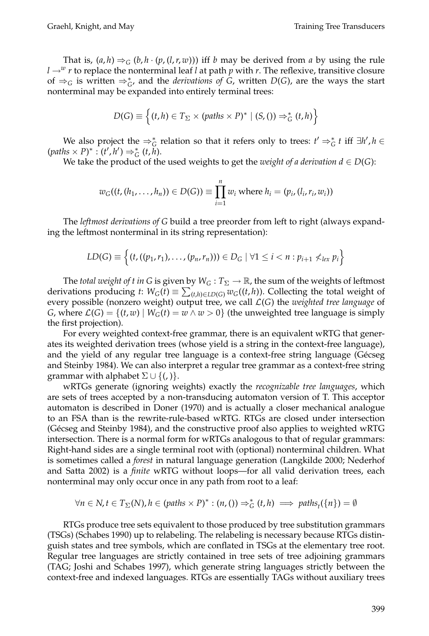That is,  $(a, h) \Rightarrow_G (b, h \cdot (p, (l, r, w)))$  iff *b* may be derived from *a* by using the rule  $l \rightarrow w$  *r* to replace the nonterminal leaf *l* at path *p* with *r*. The reflexive, transitive closure of  $\Rightarrow$ <sub>*G*</sub> is written  $\Rightarrow$ <sup>\*</sup><sub>*G*</sub>, and the *derivations of G*, written *D*(*G*), are the ways the start nonterminal may be expanded into entirely terminal trees:

$$
D(G) \equiv \left\{ (t, h) \in T_{\Sigma} \times (paths \times P)^* \mid (S, ()) \Rightarrow_G^* (t, h) \right\}
$$

We also project the  $\Rightarrow_G^*$  relation so that it refers only to trees:  $t' \Rightarrow_G^* t$  iff  $\exists h', h \in G$  $(\text{paths} \times P)^* : (t', h') \Rightarrow_G^* (t, h).$ 

We take the product of the used weights to get the *weight of a derivation*  $d \in D(G)$ *:* 

$$
w_G((t, (h_1, ..., h_n)) \in D(G)) \equiv \prod_{i=1}^n w_i
$$
 where  $h_i = (p_i, (l_i, r_i, w_i))$ 

The *leftmost derivations of G* build a tree preorder from left to right (always expanding the leftmost nonterminal in its string representation):

$$
LD(G) \equiv \left\{ (t, ((p_1,r_1), \ldots, (p_n,r_n))) \in D_G \mid \forall 1 \leq i < n : p_{i+1} \nless_{lex} p_i \right\}
$$

The *total weight of t in* G is given by  $W_G: T_\Sigma \to \mathbb{R}$ , the sum of the weights of leftmost derivations producing *t*:  $W_G(t) \equiv \sum_{(t,h) \in LD(G)} w_G((t,h))$ . Collecting the total weight of every possible (nonzero weight) output tree, we call L(*G*) the *weighted tree language* of *G*, where  $\mathcal{L}(G) = \{(t, w) \mid W_G(t) = w \land w > 0\}$  (the unweighted tree language is simply the first projection).

For every weighted context-free grammar, there is an equivalent wRTG that generates its weighted derivation trees (whose yield is a string in the context-free language), and the yield of any regular tree language is a context-free string language (Gécseg and Steinby 1984). We can also interpret a regular tree grammar as a context-free string grammar with alphabet  $\Sigma \cup \{(.)\}$ .

wRTGs generate (ignoring weights) exactly the *recognizable tree languages*, which are sets of trees accepted by a non-transducing automaton version of T. This acceptor automaton is described in Doner (1970) and is actually a closer mechanical analogue to an FSA than is the rewrite-rule-based wRTG. RTGs are closed under intersection (Gécseg and Steinby 1984), and the constructive proof also applies to weighted wRTG intersection. There is a normal form for wRTGs analogous to that of regular grammars: Right-hand sides are a single terminal root with (optional) nonterminal children. What is sometimes called a *forest* in natural language generation (Langkilde 2000; Nederhof and Satta 2002) is a *finite* wRTG without loops—for all valid derivation trees, each nonterminal may only occur once in any path from root to a leaf:

$$
\forall n \in N, t \in T_{\Sigma}(N), h \in (paths \times P)^{*} : (n, ()) \Rightarrow_{G}^{*} (t, h) \implies paths_{t}(\{n\}) = \emptyset
$$

RTGs produce tree sets equivalent to those produced by tree substitution grammars (TSGs) (Schabes 1990) up to relabeling. The relabeling is necessary because RTGs distinguish states and tree symbols, which are conflated in TSGs at the elementary tree root. Regular tree languages are strictly contained in tree sets of tree adjoining grammars (TAG; Joshi and Schabes 1997), which generate string languages strictly between the context-free and indexed languages. RTGs are essentially TAGs without auxiliary trees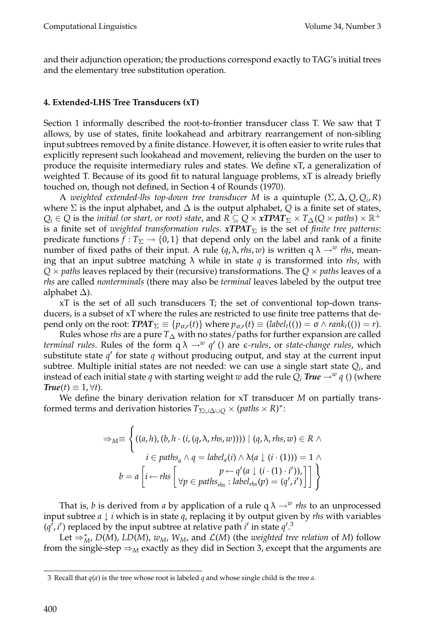and their adjunction operation; the productions correspond exactly to TAG's initial trees and the elementary tree substitution operation.

# **4. Extended-LHS Tree Transducers (xT)**

Section 1 informally described the root-to-frontier transducer class T. We saw that T allows, by use of states, finite lookahead and arbitrary rearrangement of non-sibling input subtrees removed by a finite distance. However, it is often easier to write rules that explicitly represent such lookahead and movement, relieving the burden on the user to produce the requisite intermediary rules and states. We define xT, a generalization of weighted T. Because of its good fit to natural language problems, xT is already briefly touched on, though not defined, in Section 4 of Rounds (1970).

A *weighted extended-lhs top-down tree transducer* M is a quintuple  $(\Sigma, \Delta, Q, Q_i, R)$ where  $\Sigma$  is the input alphabet, and  $\Delta$  is the output alphabet,  $Q$  is a finite set of states,  $Q_i \in Q$  is the *initial (or start, or root) state,* and  $R \subseteq Q \times x$  *TPAT* $\Sigma \times T_{\Delta}(Q \times paths) \times \mathbb{R}^+$ is a finite set of *weighted transformation rules*. *xTPAT*<sup>Σ</sup> is the set of *finite tree patterns*: predicate functions  $f: T_{\Sigma} \to \{0, 1\}$  that depend only on the label and rank of a finite number of fixed paths of their input. A rule  $(q, \lambda, r \mid s, w)$  is written  $q \lambda \rightarrow w \mid r \mid s$ , meaning that an input subtree matching  $\lambda$  while in state *q* is transformed into *rhs*, with  $Q \times$  *paths* leaves replaced by their (recursive) transformations. The  $Q \times$  *paths* leaves of a *rhs* are called *nonterminals* (there may also be *terminal* leaves labeled by the output tree alphabet ∆).

xT is the set of all such transducers T; the set of conventional top-down transducers, is a subset of xT where the rules are restricted to use finite tree patterns that depend only on the root:  $TPT_{\Sigma} \equiv \{p_{\sigma,r}(t)\}\$  where  $p_{\sigma,r}(t) \equiv (label_{t}(t)) = \sigma \wedge rank_{t}(t) = r$ .

Rules whose *rhs* are a pure  $T_{\Delta}$  with no states/paths for further expansion are called *terminal rules*. Rules of the form  $q \lambda \rightarrow w q'$  () are  $\epsilon$ -rules, or *state-change rules*, which substitute state  $q'$  for state  $q$  without producing output, and stay at the current input subtree. Multiple initial states are not needed: we can use a single start state *Qi*, and instead of each initial state *q* with starting weight *w* add the rule  $Q_i$  *True*  $\rightarrow$ <sup>*w*</sup> *q* () (where  $True(t) \equiv 1, \forall t$ .

We define the binary derivation relation for xT transducer *M* on partially transformed terms and derivation histories  $T_{\Sigma \cup \Delta \cup Q} \times (paths \times R)^*$ :

$$
\Rightarrow_{M} \equiv \left\{ \left( (a, h), (b, h \cdot (i, (q, \lambda, r \, \text{ns}, w))) \right) \mid (q, \lambda, r \, \text{ns}, w) \in R \land i \in paths_{a} \land q = label_{a}(i) \land \lambda(a \downarrow (i \cdot (1))) = 1 \land b = a \left[ i \leftarrow r \, \text{ns} \left[ \forall p \in paths_{r \, \text{ns}} : label_{r \, \text{ns}}(p) = (q', i') \right] \right] \right\}
$$

That is, *b* is derived from *a* by application of a rule  $q \lambda \rightarrow w$  *rhs* to an unprocessed input subtree *a* ↓ *i* which is in state *q*, replacing it by output given by *rhs* with variables  $(q^7, i^7)$  replaced by the input subtree at relative path *i'* in state  $q'^{3}$ .

Let  $\Rightarrow_M^*$ , *D*(*M*), *LD*(*M*), *w<sub>M</sub>*, *W<sub>M</sub>*, and *L*(*M*) (the *weighted tree relation* of *M*) follow from the single-step  $\Rightarrow_M$  exactly as they did in Section 3, except that the arguments are

<sup>3</sup> Recall that *q*(*a*) is the tree whose root is labeled *q* and whose single child is the tree *a*.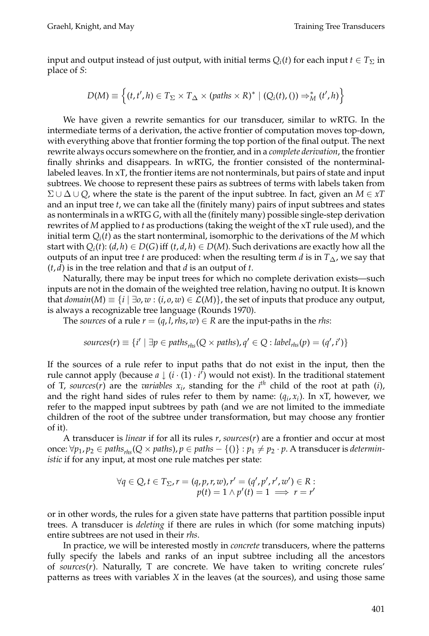input and output instead of just output, with initial terms  $Q_i(t)$  for each input  $t \in T_\Sigma$  in place of *S*:

$$
D(M) \equiv \left\{ (t, t', h) \in T_{\Sigma} \times T_{\Delta} \times (paths \times R)^* \mid (Q_i(t), ()) \Rightarrow_M^* (t', h) \right\}
$$

We have given a rewrite semantics for our transducer, similar to wRTG. In the intermediate terms of a derivation, the active frontier of computation moves top-down, with everything above that frontier forming the top portion of the final output. The next rewrite always occurs somewhere on the frontier, and in a *complete derivation*, the frontier finally shrinks and disappears. In wRTG, the frontier consisted of the nonterminallabeled leaves. In xT, the frontier items are not nonterminals, but pairs of state and input subtrees. We choose to represent these pairs as subtrees of terms with labels taken from Σ ∪ ∆ ∪ *Q*, where the state is the parent of the input subtree. In fact, given an *M* ∈ *xT* and an input tree *t*, we can take all the (finitely many) pairs of input subtrees and states as nonterminals in a wRTG *G*, with all the (finitely many) possible single-step derivation rewrites of *M* applied to *t* as productions (taking the weight of the xT rule used), and the initial term  $Q_i(t)$  as the start nonterminal, isomorphic to the derivations of the *M* which start with  $Q_i(t)$ :  $(d, h) \in D(G)$  iff  $(t, d, h) \in D(M)$ . Such derivations are exactly how all the outputs of an input tree *t* are produced: when the resulting term *d* is in *T*∆, we say that (*t*, *d*) is in the tree relation and that *d* is an output of *t*.

Naturally, there may be input trees for which no complete derivation exists—such inputs are not in the domain of the weighted tree relation, having no output. It is known that  $domain(M) \equiv \{i \mid \exists o, w : (i, o, w) \in \mathcal{L}(M)\}\$ , the set of inputs that produce any output, is always a recognizable tree language (Rounds 1970).

The *sources* of a rule  $r = (q, l, r \, h \cdot s, w) \in R$  are the input-paths in the *rhs*:

$$
sources(r) \equiv \{i' \mid \exists p \in paths_{rhs}(Q \times paths), q' \in Q : label_{rhs}(p) = (q', i')\}
$$

If the sources of a rule refer to input paths that do not exist in the input, then the rule cannot apply (because *a* ↓ (*i* · (1̄) · *i*<sup> $\tilde{i}$ </sup>) would not exist). In the traditional statement of T, *sources*(*r*) are the *variables*  $x_i$ , standing for the  $i^{th}$  child of the root at path (*i*), and the right hand sides of rules refer to them by name:  $(q_i, x_i)$ . In xT, however, we refer to the mapped input subtrees by path (and we are not limited to the immediate children of the root of the subtree under transformation, but may choose any frontier of it).

A transducer is *linear* if for all its rules *r*, *sources*(*r*) are a frontier and occur at most once:  $\forall p_1, p_2 \in paths_{rhs} (Q \times paths), p \in paths - \{(i)\} : p_1 \neq p_2 \cdot p$ . A transducer is *deterministic* if for any input, at most one rule matches per state:

$$
\forall q \in Q, t \in T_{\Sigma}, r = (q, p, r, w), r' = (q', p', r', w') \in R:
$$
  

$$
p(t) = 1 \land p'(t) = 1 \implies r = r'
$$

or in other words, the rules for a given state have patterns that partition possible input trees. A transducer is *deleting* if there are rules in which (for some matching inputs) entire subtrees are not used in their *rhs*.

In practice, we will be interested mostly in *concrete* transducers, where the patterns fully specify the labels and ranks of an input subtree including all the ancestors of *sources*(*r*). Naturally, T are concrete. We have taken to writing concrete rules' patterns as trees with variables *X* in the leaves (at the sources), and using those same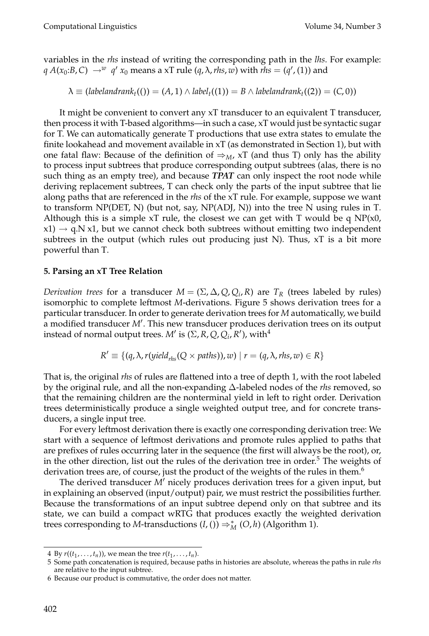variables in the *rhs* instead of writing the corresponding path in the *lhs*. For example:  $q A(x_0:B,C) \rightarrow^w q' x_0$  means a xT rule  $(q, \lambda, \textit{rhs}, \textit{w})$  with  $\textit{rhs} = (q', (1))$  and

$$
\lambda \equiv (labelandrank_t(()) = (A,1) \land label_t((1)) = B \land labelandrank_t((2)) = (C,0))
$$

It might be convenient to convert any xT transducer to an equivalent T transducer, then process it with T-based algorithms—in such a case, xT would just be syntactic sugar for T. We can automatically generate T productions that use extra states to emulate the finite lookahead and movement available in xT (as demonstrated in Section 1), but with one fatal flaw: Because of the definition of  $\Rightarrow_M$ , xT (and thus T) only has the ability to process input subtrees that produce corresponding output subtrees (alas, there is no such thing as an empty tree), and because *TPAT* can only inspect the root node while deriving replacement subtrees, T can check only the parts of the input subtree that lie along paths that are referenced in the *rhs* of the xT rule. For example, suppose we want to transform NP(DET, N) (but not, say, NP(ADJ, N)) into the tree N using rules in T. Although this is a simple xT rule, the closest we can get with T would be q  $NP(x0)$ ,  $x1) \rightarrow q.N x1$ , but we cannot check both subtrees without emitting two independent subtrees in the output (which rules out producing just N). Thus,  $xT$  is a bit more powerful than T.

# **5. Parsing an xT Tree Relation**

*Derivation trees* for a transducer  $M = (\Sigma, \Delta, Q, Q_i, R)$  are  $T_R$  (trees labeled by rules) isomorphic to complete leftmost *M*-derivations. Figure 5 shows derivation trees for a particular transducer. In order to generate derivation trees for *M* automatically, we build a modified transducer *M* . This new transducer produces derivation trees on its output instead of normal output trees. *M'* is ( $\Sigma$ , *R*, *Q*, *Q<sub>i</sub>*, *R'*), with<sup>4</sup>

$$
R' \equiv \{ (q, \lambda, r(yield_{rhs}(Q \times paths)), w) \mid r = (q, \lambda, rhs, w) \in R \}
$$

That is, the original *rhs* of rules are flattened into a tree of depth 1, with the root labeled by the original rule, and all the non-expanding ∆-labeled nodes of the *rhs* removed, so that the remaining children are the nonterminal yield in left to right order. Derivation trees deterministically produce a single weighted output tree, and for concrete transducers, a single input tree.

For every leftmost derivation there is exactly one corresponding derivation tree: We start with a sequence of leftmost derivations and promote rules applied to paths that are prefixes of rules occurring later in the sequence (the first will always be the root), or, in the other direction, list out the rules of the derivation tree in order.<sup>5</sup> The weights of derivation trees are, of course, just the product of the weights of the rules in them.<sup>6</sup>

The derived transducer *M'* nicely produces derivation trees for a given input, but in explaining an observed (input/output) pair, we must restrict the possibilities further. Because the transformations of an input subtree depend only on that subtree and its state, we can build a compact wRTG that produces exactly the weighted derivation trees corresponding to *M*-transductions  $(I, (I)) \Rightarrow_M^* (O, h)$  (Algorithm 1).

<sup>4</sup> By  $r((t_1, ..., t_n))$ , we mean the tree  $r(t_1, ..., t_n)$ .

<sup>5</sup> Some path concatenation is required, because paths in histories are absolute, whereas the paths in rule *rhs* are relative to the input subtree.

<sup>6</sup> Because our product is commutative, the order does not matter.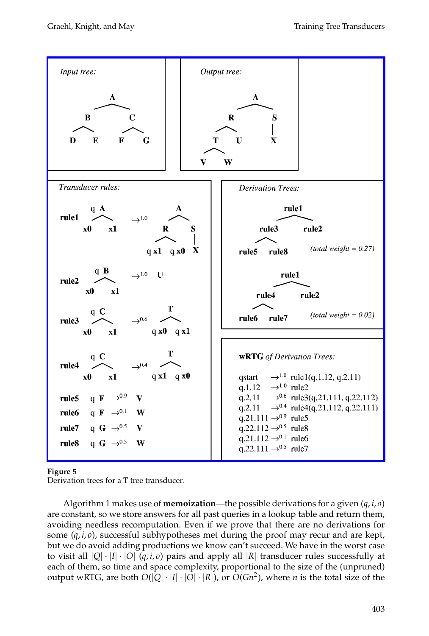[Graehl, Knight, and May Training Tree Transducers](http://www.mitpressjournals.org/action/showImage?doi=10.1162/coli.2008.07-051-R2-03-57&iName=master.img-003.png&w=382&h=457)



#### **Figure 5**

Derivation trees for a T tree transducer.

Algorithm 1 makes use of **memoization**—the possible derivations for a given (*q*, *i*, *o*) are constant, so we store answers for all past queries in a lookup table and return them, avoiding needless recomputation. Even if we prove that there are no derivations for some  $(q, i, o)$ , successful subhypotheses met during the proof may recur and are kept, but we do avoid adding productions we know can't succeed. We have in the worst case to visit all  $|Q| \cdot |I| \cdot |O|$  (*q, i, o*) pairs and apply all  $|R|$  transducer rules successfully at each of them, so time and space complexity, proportional to the size of the (unpruned) output wRTG, are both  $O(|Q| \cdot |I| \cdot |O| \cdot |R|)$ , or  $O(Gn^2)$ , where *n* is the total size of the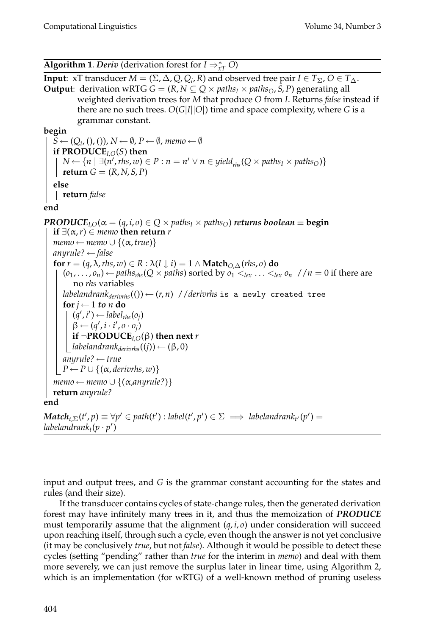**Algorithm 1**. *Deriv* (derivation forest for  $I \Rightarrow_{xT}^* O$ )

**Input:** xT transducer  $M = (\Sigma, \Delta, Q, Q_i, R)$  and observed tree pair  $I \in T_{\Sigma}, O \in T_{\Delta}$ . **Output**: derivation wRTG *G* =  $(R, N \subseteq Q \times paths_I \times paths_O, S, P)$  generating all weighted derivation trees for *M* that produce *O* from *I*. Returns *false* instead if there are no such trees. *O*(*G*|*I*||*O*|) time and space complexity, where *G* is a grammar constant.

**begin**

 $S \leftarrow (Q_i, (h), I)$ ,  $N \leftarrow \emptyset$ ,  $P \leftarrow \emptyset$ , *memo*  $\leftarrow \emptyset$ **if PRODUCE** $_{LO}(S)$  then *N* ←  $\{n \mid \exists (n', \text{rhs}, w) \in P : n = n' \lor n \in \text{yield}_{\text{rhs}}(Q \times \text{paths}_I \times \text{paths}_O)\}$  $\vert$  **return**  $G = (R, N, S, P)$ **else return** *false*

**end**

*PRODUCE*<sub>*I*, $O(\alpha = (q, i, o) \in Q \times paths_I \times paths_O)$  *returns boolean*  $\equiv$  begin</sub> **if** ∃( $\alpha$ , *r*) ∈ *memo* **then return** *r*  $memo \leftarrow memo \cup \{(\alpha, true)\}$ *anyrule?* ← *false* **for**  $r = (q, \lambda, \text{rhs}, w) \in R : \lambda(I \downarrow i) = 1 \wedge \text{Match}_{O, \Delta}(\text{rhs}, o)$  do  $(o_1, \ldots, o_n) \leftarrow$  *paths<sub>rhs</sub>*( $Q \times$  *paths*) sorted by  $o_1 \lt_{lex} \ldots \lt_{lex} o_n$  // $n = 0$  if there are no *rhs* variables *labelandrank<sub>derivrhs</sub>*(()) ←  $(r, n)$  //*derivrhs* is a newly created tree **for**  $j \leftarrow 1$  *to n* **do**  $(q', i') \leftarrow label_{rhs}(o_j)$  $\beta \leftarrow (q', i \cdot i', o \cdot o_j)$ **if**  $\neg$ **PRODUCE**<sub>*I*, $O(\beta)$ </sub> **then next** *r*  $\Box$ *labelandrank* $_{derivhs}$  $((j)) \leftarrow (\beta, 0)$ *anyrule?* ← *true*  $P \leftarrow P \cup \{(\alpha,$  *derivrhs*, *w*)}  $memo \leftarrow memo \cup \{(\alpha, any rule?)\}$ **return** *anyrule?* **end**

 $\mathbf{Match}_{t,\Sigma}(t',p) \equiv \forall p' \in path(t') : label(t',p') \in \Sigma \implies labelandrank_{t'}(p') = 0$  $labeland rank_t(p\cdot p')$ 

input and output trees, and *G* is the grammar constant accounting for the states and rules (and their size).

If the transducer contains cycles of state-change rules, then the generated derivation forest may have infinitely many trees in it, and thus the memoization of *PRODUCE* must temporarily assume that the alignment  $(q, i, o)$  under consideration will succeed upon reaching itself, through such a cycle, even though the answer is not yet conclusive (it may be conclusively *true*, but not *false*). Although it would be possible to detect these cycles (setting "pending" rather than *true* for the interim in *memo*) and deal with them more severely, we can just remove the surplus later in linear time, using Algorithm 2, which is an implementation (for wRTG) of a well-known method of pruning useless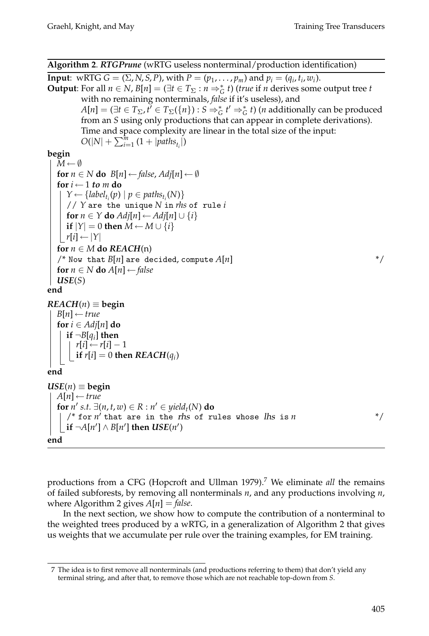**Algorithm 2**. *RTGPrune* (wRTG useless nonterminal/production identification)

**Input:** wRTG *G* = ( $\Sigma$ , *N*, *S*, *P*), with *P* = ( $p_1$ , ...,  $p_m$ ) and  $p_i$  = ( $q_i$ ,  $t_i$ ,  $w_i$ ). **Output**: For all  $n \in N$ ,  $B[n] = (\exists t \in T_{\Sigma} : n \Rightarrow_{G}^{*} t)$  (*true* if *n* derives some output tree *t* with no remaining nonterminals, *false* if it's useless), and  $A[n] = (\exists t \in T_{\Sigma}, t] \in T_{\Sigma}(\{n\}): S \Rightarrow_G^* t' \Rightarrow_G^* t)$  (*n* additionally can be produced from an *S* using only productions that can appear in complete derivations). Time and space complexity are linear in the total size of the input:  $O(|N| + \sum_{i=1}^{m} (1 + |paths_{t_i}|))$ 

**begin**

```
M \leftarrow \emptysetfor n \in \mathbb{N} do B[n] \leftarrow false, Adj[n] \leftarrow \emptysetfor i \leftarrow 1 to m do
      Y \leftarrow \{label_t_i(p) | p \in paths_{t_i}(N) \}// Y are the unique N in rhs of rule i
      for n \in Y do Adj[n] \leftarrow Adj[n] \cup \{i\}\vert if |Y| = 0 then M \leftarrow M \cup \{i\}\mid r[i] \leftarrow |Y|for n \in M do REACH(n)\frac{1}{2} Now that B[n] are decided, compute A[n] \frac{1}{2} \frac{1}{2}for n \in N do A[n] \leftarrow falseUSE(S)
end
REACH(n) \equivbegin
   B[n] \leftarrow truefor i \in Adj[n] do
     if \neg B[q_i] then
       r[i] ← r[i] − 1
         if r[i] = 0 then REACH(q_i)end
USE(n) \equivbegin
  A[n] \leftarrow truefor n' s.t. \exists (n, t, w) \in R : n' \in \text{yield}_t(N) do
      \frac{1}{2} for n' that are in the rhs of rules whose lhs is n */
      if \neg A[n'] \land B[n'] then \text{USE}(n')end
```
productions from a CFG (Hopcroft and Ullman 1979).<sup>7</sup> We eliminate *all* the remains of failed subforests, by removing all nonterminals *n*, and any productions involving *n*, where Algorithm 2 gives  $A[n] = false$ .

In the next section, we show how to compute the contribution of a nonterminal to the weighted trees produced by a wRTG, in a generalization of Algorithm 2 that gives us weights that we accumulate per rule over the training examples, for EM training.

<sup>7</sup> The idea is to first remove all nonterminals (and productions referring to them) that don't yield any terminal string, and after that, to remove those which are not reachable top-down from *S*.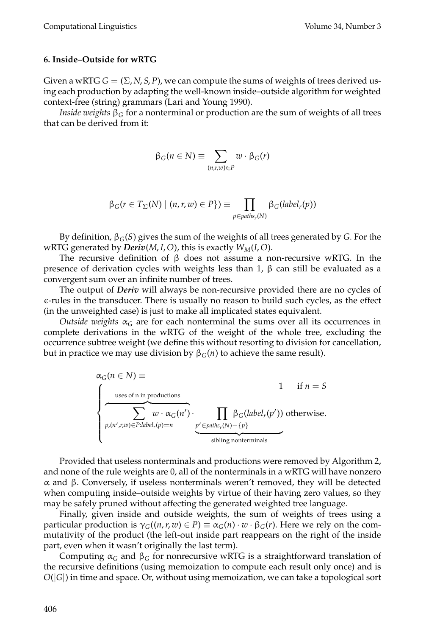#### **6. Inside–Outside for wRTG**

Given a wRTG  $G = (\Sigma, N, S, P)$ , we can compute the sums of weights of trees derived using each production by adapting the well-known inside–outside algorithm for weighted context-free (string) grammars (Lari and Young 1990).

*Inside weights*  $\beta$ <sup>*G*</sup> for a nonterminal or production are the sum of weights of all trees that can be derived from it:

$$
\beta_G(n \in N) \equiv \sum_{(n,r,w) \in P} w \cdot \beta_G(r)
$$

$$
\beta_G(r \in T_{\Sigma}(N) \mid (n, r, w) \in P\}) \equiv \prod_{p \in paths_r(N)} \beta_G(label_r(p))
$$

By definition, β*G*(*S*) gives the sum of the weights of all trees generated by *G*. For the wRTG generated by *Deriv*(*M*, *I*, *O*), this is exactly  $W_M(I, O)$ .

The recursive definition of  $\beta$  does not assume a non-recursive wRTG. In the presence of derivation cycles with weights less than 1,  $β$  can still be evaluated as a convergent sum over an infinite number of trees.

The output of *Deriv* will always be non-recursive provided there are no cycles of  $\varepsilon$ -rules in the transducer. There is usually no reason to build such cycles, as the effect (in the unweighted case) is just to make all implicated states equivalent.

*Outside weights*  $\alpha$ <sup>*G*</sup> are for each nonterminal the sums over all its occurrences in complete derivations in the wRTG of the weight of the whole tree, excluding the occurrence subtree weight (we define this without resorting to division for cancellation, but in practice we may use division by  $β<sub>G</sub>(n)$  to achieve the same result).

$$
\alpha_G(n \in N) \equiv 1 \quad \text{if } n = S
$$
\n
$$
\begin{cases}\n\text{uses of } n \text{ in productions} \\
\sum_{p,(n',r,w) \in P: label_r(p)=n} w \cdot \alpha_G(n') \cdot \prod_{p' \in paths_r(N) - \{p\}} \beta_G(\text{label}_r(p')) \text{ otherwise.} \\
\text{isbling nonterminals}\n\end{cases}
$$

Provided that useless nonterminals and productions were removed by Algorithm 2, and none of the rule weights are 0, all of the nonterminals in a wRTG will have nonzero α and β. Conversely, if useless nonterminals weren't removed, they will be detected when computing inside–outside weights by virtue of their having zero values, so they may be safely pruned without affecting the generated weighted tree language.

Finally, given inside and outside weights, the sum of weights of trees using a particular production is γ*G*((*n*,*r*, *w*) ∈ *P*) ≡ α*G*(*n*) · *w* · β*G*(*r*). Here we rely on the commutativity of the product (the left-out inside part reappears on the right of the inside part, even when it wasn't originally the last term).

Computing  $\alpha_G$  and  $\beta_G$  for nonrecursive wRTG is a straightforward translation of the recursive definitions (using memoization to compute each result only once) and is *O*(|*G*|) in time and space. Or, without using memoization, we can take a topological sort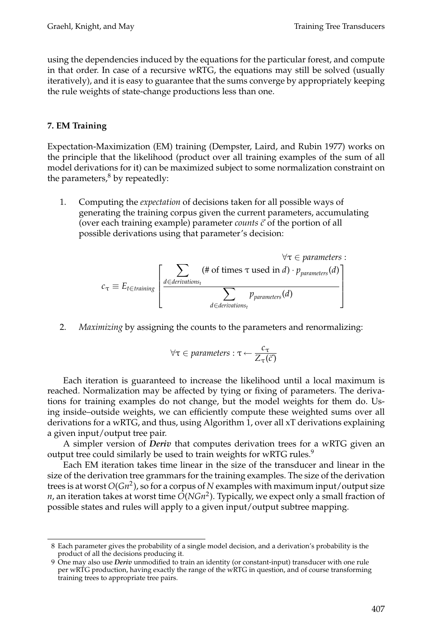using the dependencies induced by the equations for the particular forest, and compute in that order. In case of a recursive wRTG, the equations may still be solved (usually iteratively), and it is easy to guarantee that the sums converge by appropriately keeping the rule weights of state-change productions less than one.

# **7. EM Training**

Expectation-Maximization (EM) training (Dempster, Laird, and Rubin 1977) works on the principle that the likelihood (product over all training examples of the sum of all model derivations for it) can be maximized subject to some normalization constraint on the parameters, $8$  by repeatedly:

1. Computing the *expectation* of decisions taken for all possible ways of generating the training corpus given the current parameters, accumulating (over each training example) parameter *counts c* of the portion of all possible derivations using that parameter's decision:

$$
c_{\tau} \equiv E_{t \in training} \left[ \frac{\sum_{d \in derivations_t} (\# \text{ of times } \tau \text{ used in } d) \cdot p_{parameters}(d)}{\sum_{d \in derivations_t} p_{parameters}(d)} \right]
$$

2. *Maximizing* by assigning the counts to the parameters and renormalizing:

$$
\forall \tau \in \textit{parameters} : \tau \leftarrow \frac{c_{\tau}}{Z_{\tau}(\vec{c})}
$$

Each iteration is guaranteed to increase the likelihood until a local maximum is reached. Normalization may be affected by tying or fixing of parameters. The derivations for training examples do not change, but the model weights for them do. Using inside–outside weights, we can efficiently compute these weighted sums over all derivations for a wRTG, and thus, using Algorithm 1, over all xT derivations explaining a given input/output tree pair.

A simpler version of *Deriv* that computes derivation trees for a wRTG given an output tree could similarly be used to train weights for wRTG rules.<sup>9</sup>

Each EM iteration takes time linear in the size of the transducer and linear in the size of the derivation tree grammars for the training examples. The size of the derivation trees is at worst  $O(Gn^2)$ , so for a corpus of *N* examples with maximum input/output size *n*, an iteration takes at worst time *O*(*NGn*2). Typically, we expect only a small fraction of possible states and rules will apply to a given input/output subtree mapping.

<sup>8</sup> Each parameter gives the probability of a single model decision, and a derivation's probability is the product of all the decisions producing it.

<sup>9</sup> One may also use *Deriv* unmodified to train an identity (or constant-input) transducer with one rule per wRTG production, having exactly the range of the wRTG in question, and of course transforming training trees to appropriate tree pairs.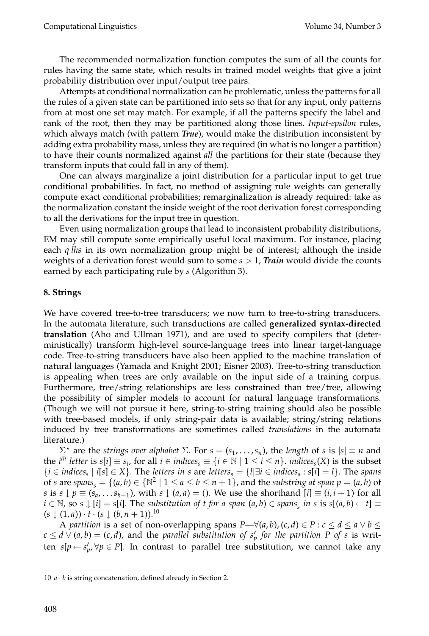The recommended normalization function computes the sum of all the counts for rules having the same state, which results in trained model weights that give a joint probability distribution over input/output tree pairs.

Attempts at conditional normalization can be problematic, unless the patterns for all the rules of a given state can be partitioned into sets so that for any input, only patterns from at most one set may match. For example, if all the patterns specify the label and rank of the root, then they may be partitioned along those lines. *Input-epsilon* rules, which always match (with pattern *True*), would make the distribution inconsistent by adding extra probability mass, unless they are required (in what is no longer a partition) to have their counts normalized against *all* the partitions for their state (because they transform inputs that could fall in any of them).

One can always marginalize a joint distribution for a particular input to get true conditional probabilities. In fact, no method of assigning rule weights can generally compute exact conditional probabilities; remarginalization is already required: take as the normalization constant the inside weight of the root derivation forest corresponding to all the derivations for the input tree in question.

Even using normalization groups that lead to inconsistent probability distributions, EM may still compute some empirically useful local maximum. For instance, placing each *q lhs* in its own normalization group might be of interest; although the inside weights of a derivation forest would sum to some *s* > 1, *Train* would divide the counts earned by each participating rule by *s* (Algorithm 3).

# **8. Strings**

We have covered tree-to-tree transducers; we now turn to tree-to-string transducers. In the automata literature, such transductions are called **generalized syntax-directed translation** (Aho and Ullman 1971), and are used to specify compilers that (deterministically) transform high-level source-language trees into linear target-language code. Tree-to-string transducers have also been applied to the machine translation of natural languages (Yamada and Knight 2001; Eisner 2003). Tree-to-string transduction is appealing when trees are only available on the input side of a training corpus. Furthermore, tree/string relationships are less constrained than tree/tree, allowing the possibility of simpler models to account for natural language transformations. (Though we will not pursue it here, string-to-string training should also be possible with tree-based models, if only string-pair data is available; string/string relations induced by tree transformations are sometimes called *translations* in the automata literature.)

 $Σ<sup>∗</sup>$  are the *strings over alphabet*  $Σ.$  For  $s = (s<sub>1</sub>, ..., s<sub>n</sub>)$ , the *length* of *s* is  $|s| ≡ n$  and the *i*<sup>th</sup> letter is *s*[*i*] ≡ *s<sub>i</sub>*, for all *i* ∈ *indices*<sub>*s*</sub> ≡ {*i* ∈ N | 1 ≤ *i* ≤ *n*}. *indices*<sub>*s*</sub>(*X*) is the subset {*i* ∈ *indicess* | *i*[*s*] ∈ *X*}. The *letters in s* are *letterss* = {*l*|∃*i* ∈ *indicess* : *s*[*i*] = *l*}. The *spans* of *s* are *spans*<sub>*s*</sub> = {(*a*, *b*)  $\in \mathbb{N}^2 \mid 1 \le a \le b \le n + 1$ }, and the *substring at span*  $p = (a, b)$  of *s* is  $s \downarrow p \equiv (s_a, \ldots, s_{b-1})$ , with  $s \downarrow (a, a) = ($ ). We use the shorthand  $[i] \equiv (i, i + 1)$  for all *i* ∈ N, so *s*  $\downarrow$  [*i*] = *s*[*i*]. The *substitution of t for a span* (*a*, *b*) ∈ *spans*<sub>s</sub> *in s* is *s*[(*a*, *b*) ← *t*] ≡  $(s \downarrow (1, a)) \cdot t \cdot (s \downarrow (b, n + 1))$ .<sup>10</sup>

A *partition* is a set of non-overlapping spans  $P \rightarrow \forall (a, b), (c, d) \in P : c \leq d \leq a \lor b \leq$  $c \le d \vee (a, b) = (c, d)$ , and the *parallel substitution of*  $s_p'$  *for the partition P of s* is written *s*[ $p \leftarrow s'_p, \forall p \in P$ ]. In contrast to parallel tree substitution, we cannot take any

<sup>10</sup> *a* · *b* is string concatenation, defined already in Section 2.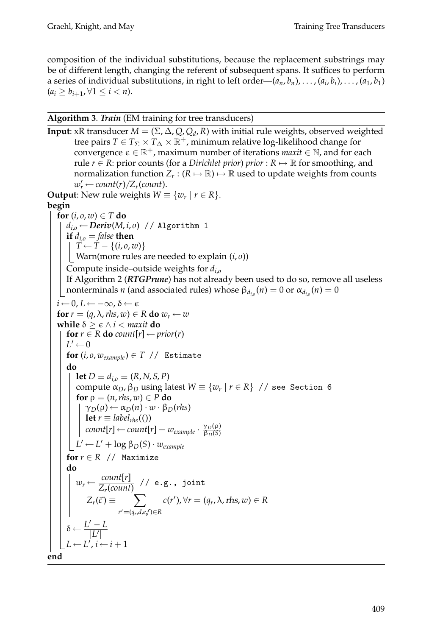composition of the individual substitutions, because the replacement substrings may be of different length, changing the referent of subsequent spans. It suffices to perform a series of individual substitutions, in right to left order— $(a_n, b_n), \ldots, (a_i, b_i), \ldots, (a_1, b_1)$  $(a_i \ge b_{i+1}, \forall 1 \le i < n).$ 

# **Algorithm 3**. *Train* (EM training for tree transducers)

```
Input: xR transducer M = (\Sigma, \Delta, Q, Q_d, R) with initial rule weights, observed weighted
          tree pairs T\in T_\Sigma\times T_\Delta\times\mathbb{R}^+ , minimum relative log-likelihood change for
          convergence \epsilon \in \mathbb{R}^+, maximum number of iterations maxit \in \mathbb{N}, and for each
          rule r \in R: prior counts (for a Dirichlet prior) prior : R \mapsto \mathbb{R} for smoothing, and
         normalization function Z_r : (R \mapsto \mathbb{R}) \mapsto \mathbb{R} used to update weights from counts
          w'_r \leftarrow count(r)/Z_r(count).
Output: New rule weights W \equiv \{w_r \mid r \in R\}.begin
  for (i, o, w) \in T do
      d_{i,o} \leftarrow Deriv(M, i, o) // Algorithm 1
      if d_{i,o} = false then
         T \leftarrow T - \{(i, o, w)\}Warn(more rules are needed to explain (i, o))
      Compute inside–outside weights for di,o
      If Algorithm 2 (RTGPrune) has not already been used to do so, remove all useless
    | nonterminals n (and associated rules) whose \beta_{d_{i,o}}(n) = 0 or \alpha_{d_{i,o}}(n) = 0i \leftarrow 0, L \leftarrow -\infty, \delta \leftarrow \epsilonfor r = (q, \lambda, \text{rhs}, \text{w}) \in R do w_r \leftarrow wwhile \delta \ge \epsilon \wedge i < maxit do
      for r \in R do count[r] \leftarrow prior(r)
      L' \leftarrow 0for (i, o, w_{example}) \in T // Estimate
       do
          let D ≡ d<sub>i,0</sub> ≡ (R, N, S, P)
          compute \alpha_D, \beta_D using latest W \equiv \{w_r \mid r \in R\} // see Section 6
          for \rho = (n, r \, h \cdot s, w) \in P do
             \gamma_D(\rho) \leftarrow \alpha_D(n) \cdot w \cdot \beta_D(rhs)let r \equiv label<sub>rhs</sub>(())
              count[r] \leftarrow count[r] + w_{example} \cdot \frac{\gamma_D(\rho)}{\beta_D(S)}\left| L' \leftarrow L' + \log \beta_D(S) \cdot w_{example} \right|for r \in R // Maximize
       do
           w_r \leftarrow \frac{count[r]}{Z_r(count)} // e.g., joint
               Z_r(\vec{c}) \equiv \sumr=(qr,d,e,f )∈R
                                           c(r'), \forall r = (q_r, \lambda, \text{rhs}, w) \in R\delta \leftarrow \frac{L'-L}{|L'|}L \leftarrow L', i \leftarrow i + 1end
```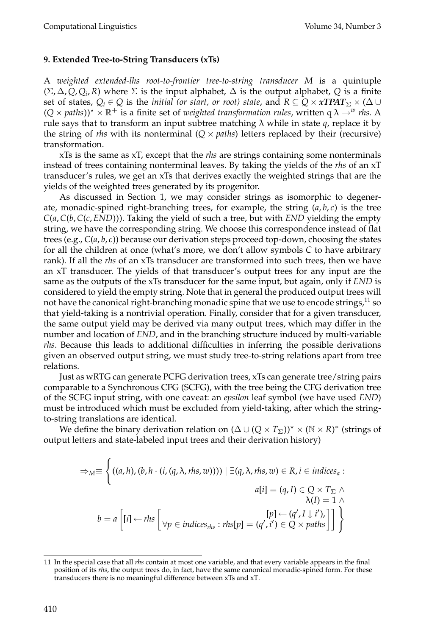# **9. Extended Tree-to-String Transducers (xTs)**

A *weighted extended-lhs root-to-frontier tree-to-string transducer M* is a quintuple  $(\Sigma, \Delta, Q, Q_i, R)$  where  $\Sigma$  is the input alphabet,  $\Delta$  is the output alphabet, Q is a finite set of states,  $Q_i \in Q$  is the *initial (or start, or root) state,* and  $R \subseteq Q \times xTPAT_{\Sigma} \times (\Delta \cup$  $(Q \times paths)$ <sup>\*</sup>  $\times \mathbb{R}^+$  is a finite set of *weighted transformation rules*, written q  $\lambda \rightarrow^w r$  *rhs*. A rule says that to transform an input subtree matching  $\lambda$  while in state  $q$ , replace it by the string of *rhs* with its nonterminal  $(Q \times paths)$  letters replaced by their (recursive) transformation.

xTs is the same as xT, except that the *rhs* are strings containing some nonterminals instead of trees containing nonterminal leaves. By taking the yields of the *rhs* of an xT transducer's rules, we get an xTs that derives exactly the weighted strings that are the yields of the weighted trees generated by its progenitor.

As discussed in Section 1, we may consider strings as isomorphic to degenerate, monadic-spined right-branching trees, for example, the string (*a*, *b*, *c*) is the tree *C*(*a*,*C*(*b*,*C*(*c*, *END*))). Taking the yield of such a tree, but with *END* yielding the empty string, we have the corresponding string. We choose this correspondence instead of flat trees (e.g., *C*(*a*, *b*, *c*)) because our derivation steps proceed top-down, choosing the states for all the children at once (what's more, we don't allow symbols *C* to have arbitrary rank). If all the *rhs* of an xTs transducer are transformed into such trees, then we have an xT transducer. The yields of that transducer's output trees for any input are the same as the outputs of the xTs transducer for the same input, but again, only if *END* is considered to yield the empty string. Note that in general the produced output trees will not have the canonical right-branching monadic spine that we use to encode strings,  $^{11}$  so that yield-taking is a nontrivial operation. Finally, consider that for a given transducer, the same output yield may be derived via many output trees, which may differ in the number and location of *END*, and in the branching structure induced by multi-variable *rhs*. Because this leads to additional difficulties in inferring the possible derivations given an observed output string, we must study tree-to-string relations apart from tree relations.

Just as wRTG can generate PCFG derivation trees, xTs can generate tree/string pairs comparable to a Synchronous CFG (SCFG), with the tree being the CFG derivation tree of the SCFG input string, with one caveat: an *epsilon* leaf symbol (we have used *END*) must be introduced which must be excluded from yield-taking, after which the stringto-string translations are identical.

We define the binary derivation relation on  $(\Delta\cup (Q\times T_{\Sigma}))^{\star}\times (\mathbb{N}\times R)^{*}$  (strings of output letters and state-labeled input trees and their derivation history)

$$
\Rightarrow_{M} \equiv \left\{ \left( (a, h), (b, h \cdot (i, (q, \lambda, rhs, w))) \mid \exists (q, \lambda, rhs, w) \in R, i \in indices_{a} : a[i] = (q, I) \in Q \times T_{\Sigma} \land \lambda(I) = 1 \land \lambda(I) = a \left[ [i] \leftarrow rhs \right] \left[ \forall p \in indices_{rhs} : rhs[p] = (q', i') \in Q \times paths \right] \right] \right\}
$$

<sup>11</sup> In the special case that all *rhs* contain at most one variable, and that every variable appears in the final position of its *rhs*, the output trees do, in fact, have the same canonical monadic-spined form. For these transducers there is no meaningful difference between xTs and xT.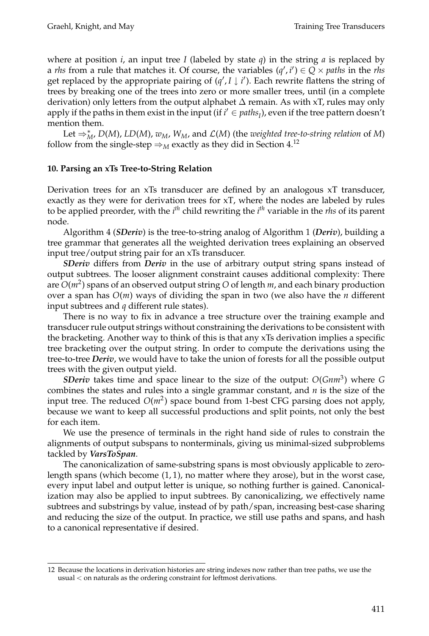where at position *i*, an input tree *I* (labeled by state  $q$ ) in the string *a* is replaced by a *rhs* from a rule that matches it. Of course, the variables  $(q', i') \in Q \times paths$  in the *rhs* get replaced by the appropriate pairing of  $(q', I \downarrow i')$ . Each rewrite flattens the string of trees by breaking one of the trees into zero or more smaller trees, until (in a complete derivation) only letters from the output alphabet  $\Delta$  remain. As with xT, rules may only apply if the paths in them exist in the input (if  $i' \in paths_I$ ), even if the tree pattern doesn't mention them.

Let  $\Rightarrow_M^*$ , *D*(*M*), *LD*(*M*), *w<sub>M</sub>*, *W<sub>M</sub>*, and *L*(*M*) (the *weighted tree-to-string relation* of *M*) follow from the single-step  $\Rightarrow_M$  exactly as they did in Section 4.<sup>12</sup>

# **10. Parsing an xTs Tree-to-String Relation**

Derivation trees for an xTs transducer are defined by an analogous xT transducer, exactly as they were for derivation trees for xT, where the nodes are labeled by rules to be applied preorder, with the *i th* child rewriting the *i th* variable in the *rhs* of its parent node.

Algorithm 4 (*SDeriv*) is the tree-to-string analog of Algorithm 1 (*Deriv*), building a tree grammar that generates all the weighted derivation trees explaining an observed input tree/output string pair for an xTs transducer.

*SDeriv* differs from *Deriv* in the use of arbitrary output string spans instead of output subtrees. The looser alignment constraint causes additional complexity: There are  $O(m^2)$  spans of an observed output string O of length  $m$ , and each binary production over a span has *O*(*m*) ways of dividing the span in two (we also have the *n* different input subtrees and *q* different rule states).

There is no way to fix in advance a tree structure over the training example and transducer rule output strings without constraining the derivations to be consistent with the bracketing. Another way to think of this is that any xTs derivation implies a specific tree bracketing over the output string. In order to compute the derivations using the tree-to-tree *Deriv*, we would have to take the union of forests for all the possible output trees with the given output yield.

*SDeriv* takes time and space linear to the size of the output: *O*(*Gnm*3) where *G* combines the states and rules into a single grammar constant, and *n* is the size of the input tree. The reduced  $O(m^2)$  space bound from 1-best CFG parsing does not apply, because we want to keep all successful productions and split points, not only the best for each item.

We use the presence of terminals in the right hand side of rules to constrain the alignments of output subspans to nonterminals, giving us minimal-sized subproblems tackled by *VarsToSpan*.

The canonicalization of same-substring spans is most obviously applicable to zerolength spans (which become (1, 1), no matter where they arose), but in the worst case, every input label and output letter is unique, so nothing further is gained. Canonicalization may also be applied to input subtrees. By canonicalizing, we effectively name subtrees and substrings by value, instead of by path/span, increasing best-case sharing and reducing the size of the output. In practice, we still use paths and spans, and hash to a canonical representative if desired.

<sup>12</sup> Because the locations in derivation histories are string indexes now rather than tree paths, we use the usual < on naturals as the ordering constraint for leftmost derivations.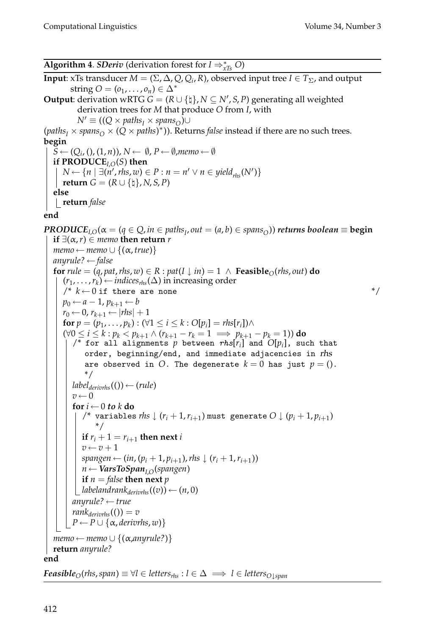**Algorithm 4**. *SDeriv* (derivation forest for *I* ⇒<sup>∗</sup> *xTs O*) **Input**: xTs transducer *M* = ( $\Sigma$ ,  $\Delta$ ,  $Q$ ,  $Q_i$ ,  $R$ ), observed input tree *I*  $\in T_{\Sigma}$ , and output string  $O = (o_1, \ldots, o_n) \in \Delta^*$ **Output**: derivation wRTG  $G = (R \cup \{ \dagger \}, N \subseteq N', S, P)$  generating all weighted derivation trees for *M* that produce *O* from *I*, with  $N'$   $\equiv$  (( $Q \times paths_I \times spans_O$ )∪  $(\textit{paths}_I \times \textit{spans}_O \times (Q \times \textit{paths})^*)$ ). Returns *false* instead if there are no such trees. **begin**  $S \leftarrow (Q_i, (1, n)), N \leftarrow \emptyset, P \leftarrow \emptyset,$ *memo*  $\leftarrow \emptyset$ **if PRODUCE***I*,*O*(*S*) **then** *N* ← { $n | \exists (n',rhs,w) \in P : n = n' ∨ n \in yield_{rhs}(N')$ }  $\mathbf{return} \; G = (R \cup \{\natural\}, N, S, P)$ **else return** *false* **end** *PRODUCE*<sub>*I*</sub>, $O(\alpha = (q \in Q, in \in paths_1, out = (a, b) \in spans_0))$  *returns boolean* ≡ **begin if**  $\exists$ (α, *r*) ∈ *memo* **then return** *r*  $memo \leftarrow memo \cup \{(\alpha, true)\}$ *anyrule?* ← *false* **for**  $rule = (q, pat, rhs, w) \in R : pat(I \downarrow in) = 1 \land \textbf{Feasible}_O(rhs, out)$  do  $(r_1, \ldots, r_k) \leftarrow$  *indices*<sub>*rhs*</sub>( $\Delta$ ) in increasing order  $\gamma^*$   $k \leftarrow 0$  if there are none  $\gamma^*$  $p_0 \leftarrow a-1, p_{k+1} \leftarrow b$  $r_0 \leftarrow 0$ ,  $r_{k+1} \leftarrow |rhs| + 1$ **for**  $p = (p_1, ..., p_k)$ : (∀1 ≤ *i* ≤ *k* :  $O[p_i] = r h s[r_i]$ )∧ (∀0 ≤ *i* ≤ *k* : *pk* < *pk*<sup>+</sup><sup>1</sup> ∧ (*rk*<sup>+</sup><sup>1</sup> − *rk* = 1 =⇒ *pk*<sup>+</sup><sup>1</sup> − *pk* = 1)) **do**  $\sqrt{\binom{n}{r}}$  for all alignments  $p$  between  $rhs[r_i]$  and  $O[p_i]$ , such that order, beginning/end, and immediate adjacencies in rhs are observed in  $O$ . The degenerate  $k = 0$  has just  $p = ()$ . \*/  $label_{derivshs} (()) \leftarrow (rule)$  $v \leftarrow 0$ **for**  $i \leftarrow 0$  *to*  $k$  **do**  $\ell^*$  variables *rhs*  $\downarrow$  ( $r_i + 1, r_{i+1}$ ) must generate  $O \downarrow (p_i + 1, p_{i+1})$ \*/ **if**  $r_i + 1 = r_{i+1}$  **then next** *i*  $v \leftarrow v + 1$ *spangen* ←  $(in, (p_i + 1, p_{i+1}),$ *rhs* ↓  $(r_i + 1, r_{i+1}))$ *n* ← *VarsToSpanI*,*O*(*spangen*) **if**  $n =$  *false* **then next**  $p$ *labelandrank* $_{derivh}$ *s* $((v)) \leftarrow (n, 0)$ *anyrule?* ← *true*  $rank_{derivvhs}(()) = v$  $P \leftarrow P \cup \{\alpha,$  *derivrhs*, *w*)}  $memo \leftarrow memo \cup \{(\alpha, any rule?)\}$ **return** *anyrule?* **end** *Feasible*<sup>*O*</sup>(*rhs*, *span*)  $\equiv \forall l \in \text{leters}_{\text{rhs}} : l \in \Delta \implies l \in \text{leters}_{O\perp span}$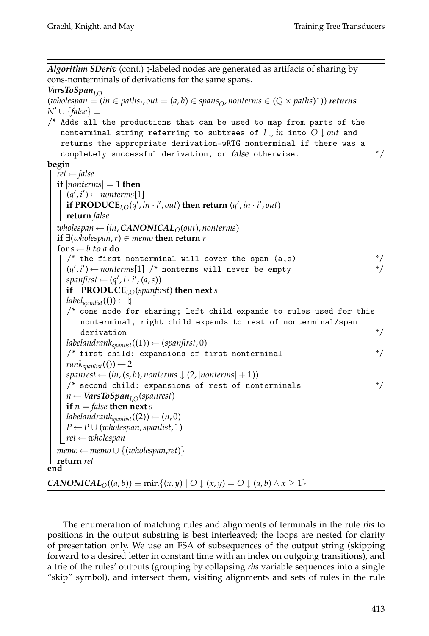Algorithm SDeriv (cont.) h-labeled nodes are generated as artifacts of sharing by cons-nonterminals of derivations for the same spans.

```
VarsToSpanI,O
```

```
(wholespan = (in \in paths_I, out = (a, b) \in spans_O, nonterms \in (Q \times paths)^*) returns
N ∪ {false} ≡
/* Adds all the productions that can be used to map from parts of the
   nonterminal string referring to subtrees of I ↓ in into O ↓ out and
```
returns the appropriate derivation-wRTG nonterminal if there was a

```
completely successful derivation, or false otherwise. */begin
```

```
ret ← false
  if |nonterms| = 1 then
     (q', i') \leftarrow nonterms[1]if PRODUCE<sub>I,O</sub>(q', in \cdot i', out) then return (q', in \cdot i', out)
   return false
  wholespan ← (in, CANONICAL<sub>O</sub>(out), nonterms)
  if ∃(wholespan, r) ∈ memo then return r
  for s \leftarrow b to a <b>do
     /* the first nonterminal will cover the span (a, s) */
     (q', i') \leftarrow nonterms[1] /* nonterms will never be empty */
     spanfirst \leftarrow (q', i \cdot i', (a, s))if ¬PRODUCEI,O(spanfirst) then next s
     label_{spanlist} (()) \leftarrow \natural/* cons node for sharing; left child expands to rules used for this
        nonterminal, right child expands to rest of nonterminal/span
        derivation */
     labeland rank_{spanlist}((1)) \leftarrow (spanfirst, 0)/* first child: expansions of first nonterminal
     rank<sub>spanlist</sub>(()) \leftarrow 2spanrest \leftarrow (in, (s, b), nonterms \downarrow (2, |nonterms| + 1))/* second child: expansions of rest of nonterminals */
     n ← VarsToSpanI,O(spanrest)
     if n = false then next s
     labelandrank<sub>spanlist</sub>((2)) \leftarrow (n, 0)P \leftarrow P \cup (wholespan, spanlist, 1)ret ← wholespan
  memo ← memo \cup {(wholespan,ret)}
  return ret
end
CANONICAL<sub>O</sub>((a, b)) ≡ min{(x, y) | O ↓ (x, y) = O ↓ (a, b) ∧ x ≥ 1}</sub>
```
The enumeration of matching rules and alignments of terminals in the rule *rhs* to positions in the output substring is best interleaved; the loops are nested for clarity of presentation only. We use an FSA of subsequences of the output string (skipping forward to a desired letter in constant time with an index on outgoing transitions), and a trie of the rules' outputs (grouping by collapsing *rhs* variable sequences into a single "skip" symbol), and intersect them, visiting alignments and sets of rules in the rule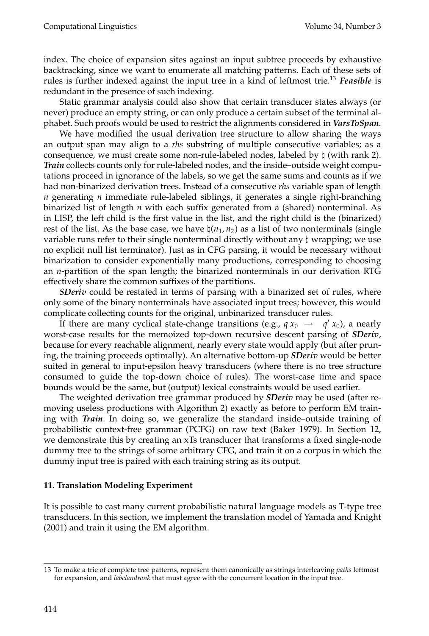index. The choice of expansion sites against an input subtree proceeds by exhaustive backtracking, since we want to enumerate all matching patterns. Each of these sets of rules is further indexed against the input tree in a kind of leftmost trie.<sup>13</sup> *Feasible* is redundant in the presence of such indexing.

Static grammar analysis could also show that certain transducer states always (or never) produce an empty string, or can only produce a certain subset of the terminal alphabet. Such proofs would be used to restrict the alignments considered in *VarsToSpan*.

We have modified the usual derivation tree structure to allow sharing the ways an output span may align to a *rhs* substring of multiple consecutive variables; as a consequence, we must create some non-rule-labeled nodes, labeled by  $\natural$  (with rank 2). *Train* collects counts only for rule-labeled nodes, and the inside–outside weight computations proceed in ignorance of the labels, so we get the same sums and counts as if we had non-binarized derivation trees. Instead of a consecutive *rhs* variable span of length *n* generating *n* immediate rule-labeled siblings, it generates a single right-branching binarized list of length *n* with each suffix generated from a (shared) nonterminal. As in LISP, the left child is the first value in the list, and the right child is the (binarized) rest of the list. As the base case, we have  $\natural(n_1, n_2)$  as a list of two nonterminals (single variable runs refer to their single nonterminal directly without any  $\natural$  wrapping; we use no explicit null list terminator). Just as in CFG parsing, it would be necessary without binarization to consider exponentially many productions, corresponding to choosing an *n*-partition of the span length; the binarized nonterminals in our derivation RTG effectively share the common suffixes of the partitions.

*SDeriv* could be restated in terms of parsing with a binarized set of rules, where only some of the binary nonterminals have associated input trees; however, this would complicate collecting counts for the original, unbinarized transducer rules.

If there are many cyclical state-change transitions (e.g.,  $q x_0 \rightarrow q' x_0$ ), a nearly worst-case results for the memoized top-down recursive descent parsing of *SDeriv*, because for every reachable alignment, nearly every state would apply (but after pruning, the training proceeds optimally). An alternative bottom-up *SDeriv* would be better suited in general to input-epsilon heavy transducers (where there is no tree structure consumed to guide the top-down choice of rules). The worst-case time and space bounds would be the same, but (output) lexical constraints would be used earlier.

The weighted derivation tree grammar produced by *SDeriv* may be used (after removing useless productions with Algorithm 2) exactly as before to perform EM training with *Train*. In doing so, we generalize the standard inside–outside training of probabilistic context-free grammar (PCFG) on raw text (Baker 1979). In Section 12, we demonstrate this by creating an xTs transducer that transforms a fixed single-node dummy tree to the strings of some arbitrary CFG, and train it on a corpus in which the dummy input tree is paired with each training string as its output.

# **11. Translation Modeling Experiment**

It is possible to cast many current probabilistic natural language models as T-type tree transducers. In this section, we implement the translation model of Yamada and Knight (2001) and train it using the EM algorithm.

<sup>13</sup> To make a trie of complete tree patterns, represent them canonically as strings interleaving *paths* leftmost for expansion, and *labelandrank* that must agree with the concurrent location in the input tree.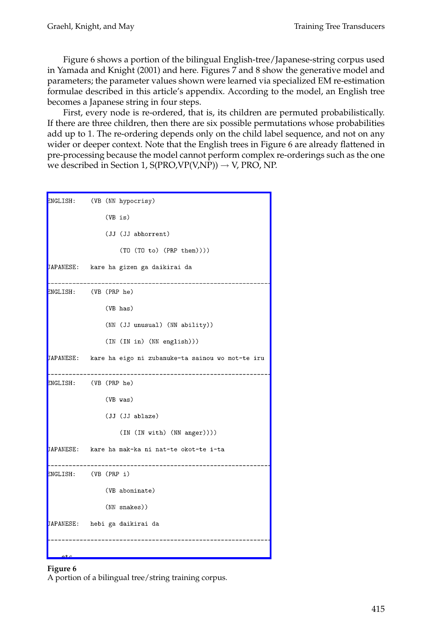Figure 6 shows a portion of the bilingual English-tree/Japanese-string corpus used in Yamada and Knight (2001) and here. Figures 7 and 8 show the generative model and parameters; the parameter values shown were learned via specialized EM re-estimation formulae described in this article's appendix. According to the model, an English tree becomes a Japanese string in four steps.

First, every node is re-ordered, that is, its children are permuted probabilistically. If there are three children, then there are six possible permutations whose probabilities [add up to 1. The re-ordering depends only on the child la](http://www.mitpressjournals.org/action/showImage?doi=10.1162/coli.2008.07-051-R2-03-57&iName=master.img-004.png&w=253&h=414)bel sequence, and not on any wider or deeper context. Note that the English trees in Figure 6 are already flattened in pre-processing because the model cannot perform complex re-orderings such as the one we described in Section 1,  $S(PRO, VP(V, NP)) \rightarrow V$ , PRO, NP.

| ENGLISH:         | (VB (NN hypocrisy)                                         |
|------------------|------------------------------------------------------------|
|                  | (VB is)                                                    |
|                  | (JJ (JJ abhorrent)                                         |
|                  | (T0 (T0 to) (PRP them))))                                  |
| <b>JAPANESE:</b> | kare ha gizen ga daikirai da                               |
|                  | ENGLISH: (VB (PRP he)                                      |
|                  | (VB has)                                                   |
|                  | (NN (JJ unusual) (NN ability))                             |
|                  | (IN (IN in) (NN english)))                                 |
|                  | JAPANESE: kare ha eigo ni zubanuke-ta sainou wo mot-te iru |
|                  | ENGLISH: (VB (PRP he)                                      |
|                  | (VB was)                                                   |
|                  | (JJ (JJ ablaze)                                            |
|                  | (IN (IN with) (NN anger))))                                |
|                  | JAPANESE: kare ha mak-ka ni nat-te okot-te i-ta            |
|                  | ENGLISH: (VB (PRP i)                                       |
|                  | (VB abominate)                                             |
|                  | (NN snakes))                                               |
|                  | JAPANESE: hebi ga daikirai da                              |
|                  |                                                            |

## **Figure 6**

A portion of a bilingual tree/string training corpus.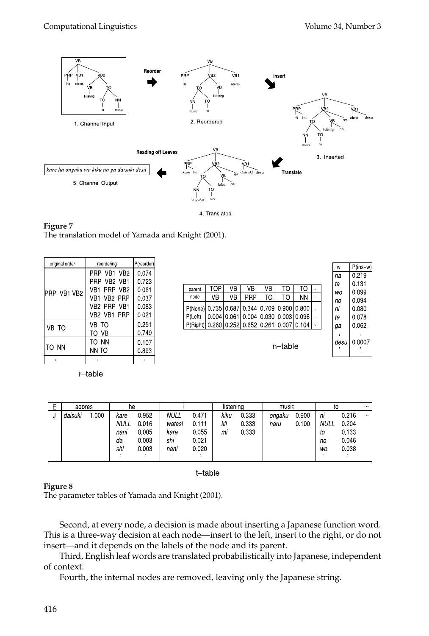$\mathsf{w}$ 

P(ins-w 0.219 0.131 0.099 0.094 0.080 0.078 0.062  $\sim$ 0.0007 ÷



**Figure 7** The translation model of Yamada and Knight (2001).

| original order | reordering  | P(reorder) |
|----------------|-------------|------------|
|                | PRP VB1 VB2 | 0.074      |
|                | PRP VR2 VR1 | 0.723      |
| PRP VB1 VB2    | VB1 PRP VB2 | 0.061      |
|                | VB1 VB2 PRP | 0.037      |
|                | VB2 PRP VB1 | 0.083      |
|                | VB2 VB1 PRP | 0.021      |
| VB TO          | VB TO       | 0.251      |
|                | TO VB       | 0749       |
|                | to nn       | 0.107      |
| TO NN          | NN TO       | 0.893      |
|                |             |            |

r-table

|                                                          |     |    |                                     |    |    |    |                      | 'nа      |
|----------------------------------------------------------|-----|----|-------------------------------------|----|----|----|----------------------|----------|
| parent                                                   | TOP | VB | VB                                  | VB | TO | TO | $\ddot{\phantom{a}}$ | ta       |
| node                                                     | VB  | VB | PRP                                 | TO | TO | ΝN | $\ddot{\phantom{a}}$ | WO<br>no |
| P(None) 0 735 0 687 0 344 0 709 0 900 0 800              |     |    |                                     |    |    |    | $\ddot{\phantom{a}}$ | пi       |
| P(Left)                                                  |     |    | 0 004 0 061 0 004 0 030 0 003 0 096 |    |    |    | $\ddot{\phantom{a}}$ | te       |
| P(Right)   0.260   0.252   0.652   0.261   0.007   0.104 |     |    |                                     |    |    |    | $\cdots$             | gа       |
|                                                          |     |    |                                     |    |    |    |                      |          |
| n–table                                                  |     |    |                                     |    |    |    |                      | desu     |
|                                                          |     |    |                                     |    |    |    |                      |          |

| F | adores  |     | he          |        |             |       | listenina |       | music  |         | to          |         | anni l       |
|---|---------|-----|-------------|--------|-------------|-------|-----------|-------|--------|---------|-------------|---------|--------------|
| υ | daisuki | 000 | kare        | 0.952  | <b>NULL</b> | 0471  | kiku      | 0.333 | ongaku | 0 9 0 0 | nı          | 0216    | $\mathbf{u}$ |
|   |         |     | <b>NULL</b> | 0.016  | watasi      | 0.111 | kii       | 0333  | naru   | 0 100   | <b>NULL</b> | 0.204   |              |
|   |         |     | nani        | 0.005  | kare        | 0055  | mi        | 0333  |        |         | to          | 0.133   |              |
|   |         |     | da          | 0.003  | shi         | 0.021 |           |       |        |         | no          | 0 0 4 6 |              |
|   |         |     | shi         | 0.003  | nani        | 0.020 |           |       |        |         | WO          | 0 0 38  |              |
|   |         |     |             | $\sim$ |             |       |           |       |        |         |             |         |              |

t-table

#### **Figure 8**

The parameter tables of Yamada and Knight (2001).

Second, at every node, a decision is made about inserting a Japanese function word. This is a three-way decision at each node—insert to the left, insert to the right, or do not insert—and it depends on the labels of the node and its parent.

Third, English leaf words are translated probabilistically into Japanese, independent of context.

Fourth, the internal nodes are removed, leaving only the Japanese string.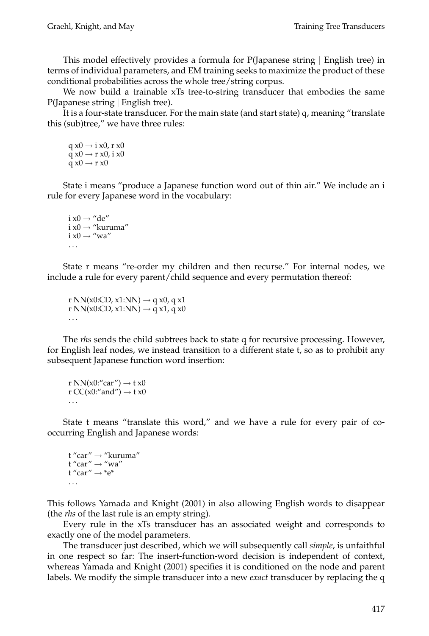This model effectively provides a formula for P(Japanese string | English tree) in terms of individual parameters, and EM training seeks to maximize the product of these conditional probabilities across the whole tree/string corpus.

We now build a trainable xTs tree-to-string transducer that embodies the same P(Japanese string | English tree).

It is a four-state transducer. For the main state (and start state) q, meaning "translate this (sub)tree," we have three rules:

```
q x0 \rightarrow i x0, r x0
q x0 \rightarrow r x0, i x0
q \times 0 \rightarrow r \times 0
```
State i means "produce a Japanese function word out of thin air." We include an i rule for every Japanese word in the vocabulary:

```
i x0 \rightarrow "de"
i x0 \rightarrow "kuruma"
i x0 \rightarrow "wa"
 ...
```
State r means "re-order my children and then recurse." For internal nodes, we include a rule for every parent/child sequence and every permutation thereof:

r NN(x0:CD, x1:NN)  $\rightarrow$  q x0, q x1 r NN(x0:CD, x1:NN)  $\rightarrow$  q x1, q x0 ...

The *rhs* sends the child subtrees back to state q for recursive processing. However, for English leaf nodes, we instead transition to a different state t, so as to prohibit any subsequent Japanese function word insertion:

```
r NN(x0:"car") \rightarrow t x0
r CC(x0:"and") \rightarrow t x0
...
```
State t means "translate this word," and we have a rule for every pair of cooccurring English and Japanese words:

```
t "car" \rightarrow "kuruma"
t "car" \rightarrow "wa"
t "car" \rightarrow *e*
...
```
This follows Yamada and Knight (2001) in also allowing English words to disappear (the *rhs* of the last rule is an empty string).

Every rule in the xTs transducer has an associated weight and corresponds to exactly one of the model parameters.

The transducer just described, which we will subsequently call *simple*, is unfaithful in one respect so far: The insert-function-word decision is independent of context, whereas Yamada and Knight (2001) specifies it is conditioned on the node and parent labels. We modify the simple transducer into a new *exact* transducer by replacing the q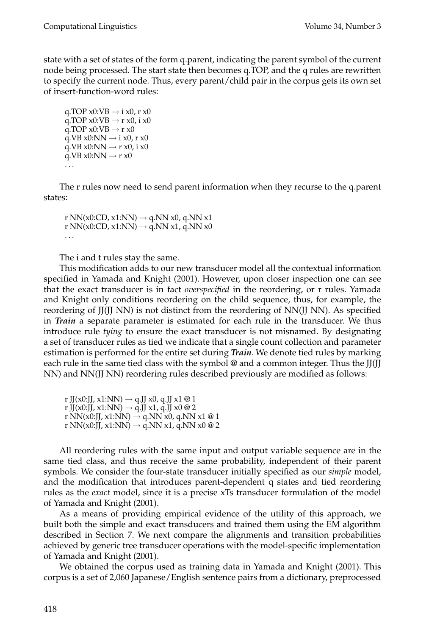state with a set of states of the form q.parent, indicating the parent symbol of the current node being processed. The start state then becomes q.TOP, and the q rules are rewritten to specify the current node. Thus, every parent/child pair in the corpus gets its own set of insert-function-word rules:

q.TOP  $x0:VB \rightarrow i x0$ , r  $x0$ q.TOP  $x0:VB \rightarrow r x0$ , i  $x0$ q.TOP  $x0:VB \rightarrow r x0$ q.VB  $x0:NN \rightarrow i x0$ , r  $x0$  $q.VB x0:NN \rightarrow r x0$ , i x0 q.VB  $x0:NN \rightarrow r x0$ ...

The r rules now need to send parent information when they recurse to the q.parent states:

r NN(x0:CD, x1:NN)  $\rightarrow$  q.NN x0, q.NN x1 r NN(x0:CD, x1:NN)  $\rightarrow$  q.NN x1, q.NN x0 ...

The i and t rules stay the same.

This modification adds to our new transducer model all the contextual information specified in Yamada and Knight (2001). However, upon closer inspection one can see that the exact transducer is in fact *overspecified* in the reordering, or r rules. Yamada and Knight only conditions reordering on the child sequence, thus, for example, the reordering of JJ(JJ NN) is not distinct from the reordering of NN(JJ NN). As specified in *Train* a separate parameter is estimated for each rule in the transducer. We thus introduce rule *tying* to ensure the exact transducer is not misnamed. By designating a set of transducer rules as tied we indicate that a single count collection and parameter estimation is performed for the entire set during *Train*. We denote tied rules by marking each rule in the same tied class with the symbol @ and a common integer. Thus the JJ(JJ NN) and NN(JJ NN) reordering rules described previously are modified as follows:

r JJ(x0:JJ, x1:NN)  $\rightarrow$  q.JJ x0, q.JJ x1 @ 1 r JJ(x0:JJ, x1:NN)  $\rightarrow$  q.JJ x1, q.JJ x0 @ 2 r NN(x0:JJ, x1:NN)  $\rightarrow$  q.NN x0, q.NN x1 @ 1 r NN(x0:JJ, x1:NN)  $\rightarrow$  q.NN x1, q.NN x0 @ 2

All reordering rules with the same input and output variable sequence are in the same tied class, and thus receive the same probability, independent of their parent symbols. We consider the four-state transducer initially specified as our *simple* model, and the modification that introduces parent-dependent q states and tied reordering rules as the *exact* model, since it is a precise xTs transducer formulation of the model of Yamada and Knight (2001).

As a means of providing empirical evidence of the utility of this approach, we built both the simple and exact transducers and trained them using the EM algorithm described in Section 7. We next compare the alignments and transition probabilities achieved by generic tree transducer operations with the model-specific implementation of Yamada and Knight (2001).

We obtained the corpus used as training data in Yamada and Knight (2001). This corpus is a set of 2,060 Japanese/English sentence pairs from a dictionary, preprocessed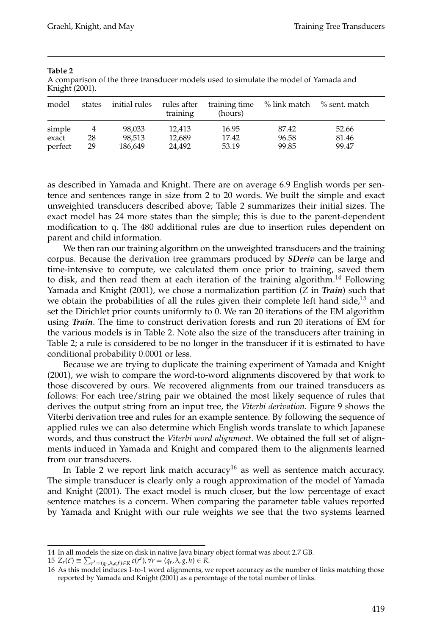| model   | states | initial rules rules after | training | training time<br>(hours) | % link match | % sent. match |
|---------|--------|---------------------------|----------|--------------------------|--------------|---------------|
| simple  | 4      | 98,033                    | 12.413   | 16.95                    | 87.42        | 52.66         |
| exact   | 28     | 98.513                    | 12,689   | 17.42                    | 96.58        | 81.46         |
| perfect | 29     | 186,649                   | 24.492   | 53.19                    | 99.85        | 99.47         |

#### **Table 2**

A comparison of the three transducer models used to simulate the model of Yamada and Knight (2001).

as described in Yamada and Knight. There are on average 6.9 English words per sentence and sentences range in size from 2 to 20 words. We built the simple and exact unweighted transducers described above; Table 2 summarizes their initial sizes. The exact model has 24 more states than the simple; this is due to the parent-dependent modification to q. The 480 additional rules are due to insertion rules dependent on parent and child information.

We then ran our training algorithm on the unweighted transducers and the training corpus. Because the derivation tree grammars produced by *SDeriv* can be large and time-intensive to compute, we calculated them once prior to training, saved them to disk, and then read them at each iteration of the training algorithm.<sup>14</sup> Following Yamada and Knight (2001), we chose a normalization partition (*Z* in *Train*) such that we obtain the probabilities of all the rules given their complete left hand side, $15$  and set the Dirichlet prior counts uniformly to 0. We ran 20 iterations of the EM algorithm using *Train*. The time to construct derivation forests and run 20 iterations of EM for the various models is in Table 2. Note also the size of the transducers after training in Table 2; a rule is considered to be no longer in the transducer if it is estimated to have conditional probability 0.0001 or less.

Because we are trying to duplicate the training experiment of Yamada and Knight (2001), we wish to compare the word-to-word alignments discovered by that work to those discovered by ours. We recovered alignments from our trained transducers as follows: For each tree/string pair we obtained the most likely sequence of rules that derives the output string from an input tree, the *Viterbi derivation*. Figure 9 shows the Viterbi derivation tree and rules for an example sentence. By following the sequence of applied rules we can also determine which English words translate to which Japanese words, and thus construct the *Viterbi word alignment*. We obtained the full set of alignments induced in Yamada and Knight and compared them to the alignments learned from our transducers.

In Table 2 we report link match accuracy<sup>16</sup> as well as sentence match accuracy. The simple transducer is clearly only a rough approximation of the model of Yamada and Knight (2001). The exact model is much closer, but the low percentage of exact sentence matches is a concern. When comparing the parameter table values reported by Yamada and Knight with our rule weights we see that the two systems learned

<sup>14</sup> In all models the size on disk in native Java binary object format was about 2.7 GB.

<sup>15</sup>  $Z_r(\vec{c}) \equiv \sum_{r'= (q_r, \lambda, \varepsilon, f) \in R} c(r'), \forall r = (q_r, \lambda, g, h) \in R.$ 

<sup>16</sup> As this model induces 1-to-1 word alignments, we report accuracy as the number of links matching those reported by Yamada and Knight (2001) as a percentage of the total number of links.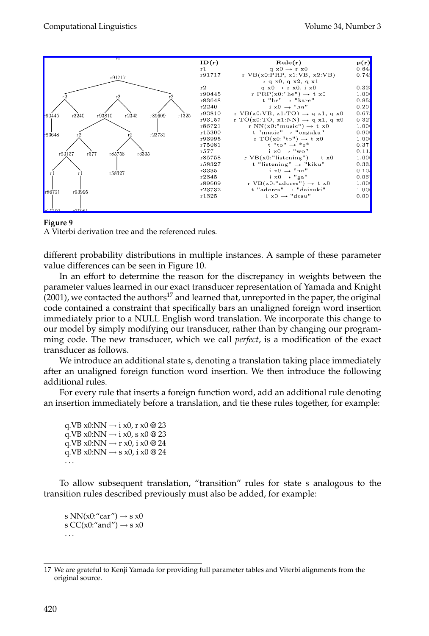#### [Computational Linguistics Volume 34, Numbe](http://www.mitpressjournals.org/action/showImage?doi=10.1162/coli.2008.07-051-R2-03-57&iName=master.img-005.png&w=371&h=176)r 3



#### **Figure 9**

A Viterbi derivation tree and the referenced rules.

different probability distributions in multiple instances. A sample of these parameter value differences can be seen in Figure 10.

In an effort to determine the reason for the discrepancy in weights between the parameter values learned in our exact transducer representation of Yamada and Knight  $(2001)$ , we contacted the authors<sup>17</sup> and learned that, unreported in the paper, the original code contained a constraint that specifically bars an unaligned foreign word insertion immediately prior to a NULL English word translation. We incorporate this change to our model by simply modifying our transducer, rather than by changing our programming code. The new transducer, which we call *perfect*, is a modification of the exact transducer as follows.

We introduce an additional state s, denoting a translation taking place immediately after an unaligned foreign function word insertion. We then introduce the following additional rules.

For every rule that inserts a foreign function word, add an additional rule denoting an insertion immediately before a translation, and tie these rules together, for example:

q.VB  $x0:NN \rightarrow i x0$ , r  $x0 \& 23$ q.VB x0:NN  $\rightarrow$  i x0, s x0 @ 23 q.VB x0:NN  $\rightarrow$  r x0, i x0 @ 24 q.VB x0:NN  $\rightarrow$  s x0, i x0 @ 24 ...

To allow subsequent translation, "transition" rules for state s analogous to the transition rules described previously must also be added, for example:

s NN(x0:"car")  $\rightarrow$  s x0 s CC(x0:"and")  $\rightarrow$  s x0 ...

<sup>17</sup> We are grateful to Kenji Yamada for providing full parameter tables and Viterbi alignments from the original source.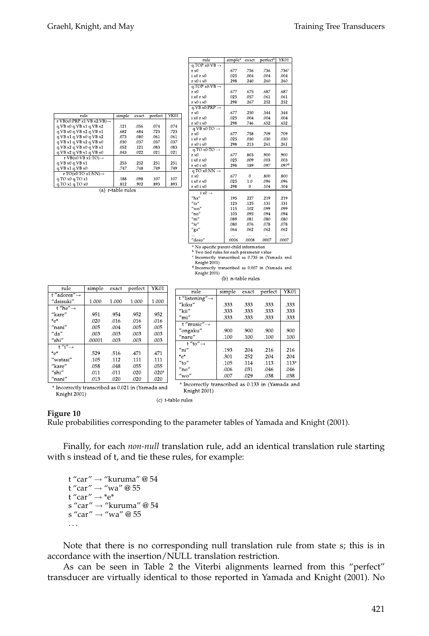| rule                                    | simple | exact | perfect | YK01 |  |  |
|-----------------------------------------|--------|-------|---------|------|--|--|
| r VB $(x0:PRP x1:VB x2:VB) \rightarrow$ |        |       |         |      |  |  |
| q.VB x0 q.VB x1 q.VB x2                 | .121   | .056  | .074    | .074 |  |  |
| a.VB x0 a.VB x2 a.VB x1                 | .682   | .684  | .723    | .723 |  |  |
| q.VB x1 q.VB x0 q.VB x2                 | .073   | .080  | .061    | .061 |  |  |
| q.VB x1 q.VB x2 q.VB x0                 | .030   | .037  | .037    | .037 |  |  |
| q.VB $x2$ q.VB $x0$ q.VB $x1$           | .052   | .121  | .083    | .083 |  |  |
| q.VB x2 q.VB x1 q.VB x0                 | .043   | .022  | .021    | .021 |  |  |
| r VB $(x0:VB x1:TO) \rightarrow$        |        |       |         |      |  |  |
| q.VB x0 q.VB x1                         | .253   | .252  | .251    | .251 |  |  |
| q.VB x1 q.VB x0                         | .747   | .748  | .749    | .749 |  |  |
| r TO(x0:TO x1:NN) $\rightarrow$         |        |       |         |      |  |  |
| q.TO x0 q.TO x1                         | .188   | .098  | .107    | .107 |  |  |
| q.TO x1 q.TO x0                         | .812   | .902  | .893    | .893 |  |  |
| r-table rules<br>(a)                    |        |       |         |      |  |  |

| rule                                              | simple <sup>a</sup> | exact    | perfect <sup>b</sup> | YK01              |  |
|---------------------------------------------------|---------------------|----------|----------------------|-------------------|--|
| $q.TOP x0:VB \rightarrow$                         |                     |          |                      |                   |  |
| $r \times 0$                                      | .677                | .756     | .736                 | .736 <sup>c</sup> |  |
| $i \times 0$ r $\times 0$                         | .025                | .004     | .004                 | .004              |  |
| r x0 i x0                                         | .298                | .240     | .260                 | .260              |  |
| $q.TOP x0:VB \rightarrow$                         |                     |          |                      |                   |  |
| $r \times 0$                                      | .677                | .675     | .687                 | .687              |  |
| $i \times 0$ r $\times 0$                         | .025                | .057     | .061                 | .061              |  |
| r x0 i x0                                         | .298                | .267     | .252                 | .252              |  |
| $q.VB x0:PRP \rightarrow$                         |                     |          |                      |                   |  |
| $r \times 0$                                      | .677                | .250     | .344                 | .344              |  |
| $i \times 0$ r $\times 0$                         | .025                | .004     | .004                 | .004              |  |
| r x0 i x0                                         | .298                | .746     | .652                 | .652              |  |
| $a.VB x0:TO \rightarrow$                          |                     |          |                      |                   |  |
| $r \times 0$                                      | .677                | .758     | .709                 | .709              |  |
| $i \times 0$ r $\times 0$                         | .025                | .030     | .030                 | .030              |  |
| $r \times 0$ i $\times 0$                         | .298                | .213     | .261                 | .261              |  |
| q.TO $x0:TO \rightarrow$                          |                     |          |                      |                   |  |
| $r \times 0$                                      | .677                | .803     | .900                 | .900              |  |
| $i \times 0$ r $\times 0$                         | .025                | .009     | .003                 | .003              |  |
| $r \times 0$ i $\times 0$                         | .298                | .189     | .097                 | .097 <sup>d</sup> |  |
| $q.TO x0:NN \rightarrow$                          |                     |          |                      |                   |  |
| $r \times 0$                                      | .677                | $\Omega$ | .800                 | .800              |  |
| $i \times 0$ r $\times 0$                         | .025                | 1.0      | .096                 | .096              |  |
| r x0 i x0                                         | .298                | $\theta$ | .104                 | .104              |  |
| $i \times 0 \rightarrow$                          |                     |          |                      |                   |  |
| $"$ ha"                                           | .195                | .227     | .219                 | .219              |  |
| $"$ ta"                                           | .123                | .125     | .131                 | .131              |  |
| $''$ wo"                                          | .115                | .102     | .099                 | .099              |  |
| $''$ no"                                          | .103                | .095     | .094                 | .094              |  |
| $n$ i"                                            | .089                | .081     | .080                 | .080              |  |
| "te"                                              | .080                | .076     | .078                 | .078              |  |
| "ga"                                              | .064                | .062     | .062                 | .062              |  |
|                                                   |                     |          | $\cdots$             | $\cdots$          |  |
| "desu"                                            | .0006               | .0008    | .0007                | .0007             |  |
| <sup>a</sup> No specific parent-child information |                     |          |                      |                   |  |

<sup>b</sup> Two tied rules for each parameter value

<sup>c</sup> Incorrectly transcribed as 0.735 in (Yamada and Knight 2001)

<sup>d</sup> Incorrectly transcribed as 0.007 in (Yamada and Knight 2001) (b) n-table rules

| rule                     | simple | exact | perfect | YK01              |
|--------------------------|--------|-------|---------|-------------------|
| t "adores" $\rightarrow$ |        |       |         |                   |
| "daisuki"                | 1.000  | 1.000 | 1.000   | 1.000             |
| t "he" $\rightarrow$     |        |       |         |                   |
| "kare"                   | .951   | .954  | .952    | .952              |
| $*_{\alpha} *$           | .020   | .016  | .016    | .016              |
| "nani"                   | .005   | .004  | .005    | .005              |
| "da"                     | .003   | .003  | .003    | .003              |
| $''$ shi $''$            | .00001 | .003  | .003    | .003              |
| $f''i'' \rightarrow$     |        |       |         |                   |
| $*_\alpha *$             | .529   | .516  | .471    | .471              |
| "watasi"                 | .105   | .112  | .111    | .111              |
| "kare"                   | .058   | .048  | .055    | .055              |
| "shi"                    | .011   | .011  | .020    | .020 <sup>a</sup> |
| "nani"                   | .013   | .020  | .020    | .020              |

| rule                                   | simple                                                       | exact | perfect | YK01              |  |  |  |
|----------------------------------------|--------------------------------------------------------------|-------|---------|-------------------|--|--|--|
| t "listening" $\rightarrow$            |                                                              |       |         |                   |  |  |  |
| "kiku"                                 | .333                                                         | .333  | .333    | .333              |  |  |  |
| $"$ kii $"$                            | .333                                                         | .333  | .333    | .333              |  |  |  |
| $"$ mi $"$                             | .333                                                         | .333  | .333    | .333              |  |  |  |
| t "music" $\rightarrow$                |                                                              |       |         |                   |  |  |  |
| "ongaku"                               | .900                                                         | .900  | .900    | .900              |  |  |  |
| $"$ naru $"$                           | .100                                                         | .100  | .100    | .100              |  |  |  |
| $t''t$ o" $\rightarrow$                |                                                              |       |         |                   |  |  |  |
| $"$ ni"                                | .193                                                         | .204  | .216    | .216              |  |  |  |
| $^*e^*$                                | .301                                                         | .252  | .204    | .204              |  |  |  |
| $"$ to"                                | .105                                                         | .114  | .113    | .113 <sup>a</sup> |  |  |  |
| "no"                                   | .006                                                         | .031  | .046    | .046              |  |  |  |
| $^{\prime\prime}$ wo $^{\prime\prime}$ | .007                                                         | .029  | .038    | .038              |  |  |  |
|                                        | <sup>a</sup> Incorrectly transcribed as 0.133 in (Yamada and |       |         |                   |  |  |  |

<sup>a</sup> Incorrectly transcribed as 0.021 in (Yamada and Knight 2001)

| (c) t-table rules |  |
|-------------------|--|

#### **Figure 10**

Rule probabilities corresponding to the parameter tables of Yamada and Knight (2001).

Knight 2001)

Finally, for each *non-null* translation rule, add an identical translation rule starting with s instead of t, and tie these rules, for example:

t "car" → "kuruma" @ 54 t "car"  $\rightarrow$  "wa" @ 55 t "car"  $\rightarrow$  \*e\* s "car" → "kuruma" @ 54 s "car"  $\rightarrow$  "wa" @ 55 ...

Note that there is no corresponding null translation rule from state s; this is in accordance with the insertion/NULL translation restriction.

As can be seen in Table 2 the Viterbi alignments learned from this "perfect" transducer are virtually identical to those reported in Yamada and Knight (2001). No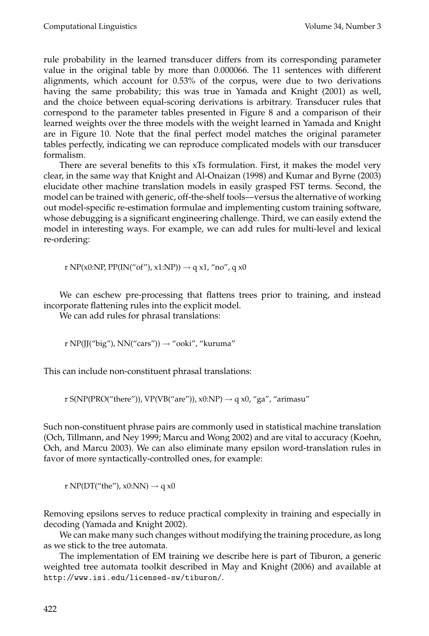rule probability in the learned transducer differs from its corresponding parameter value in the original table by more than 0.000066. The 11 sentences with different alignments, which account for 0.53% of the corpus, were due to two derivations having the same probability; this was true in Yamada and Knight (2001) as well, and the choice between equal-scoring derivations is arbitrary. Transducer rules that correspond to the parameter tables presented in Figure 8 and a comparison of their learned weights over the three models with the weight learned in Yamada and Knight are in Figure 10. Note that the final perfect model matches the original parameter tables perfectly, indicating we can reproduce complicated models with our transducer formalism.

There are several benefits to this xTs formulation. First, it makes the model very clear, in the same way that Knight and Al-Onaizan (1998) and Kumar and Byrne (2003) elucidate other machine translation models in easily grasped FST terms. Second, the model can be trained with generic, off-the-shelf tools—versus the alternative of working out model-specific re-estimation formulae and implementing custom training software, whose debugging is a significant engineering challenge. Third, we can easily extend the model in interesting ways. For example, we can add rules for multi-level and lexical re-ordering:

r NP(x0:NP, PP(IN("of"), x1:NP))  $\rightarrow$  q x1, "no", q x0

We can eschew pre-processing that flattens trees prior to training, and instead incorporate flattening rules into the explicit model.

We can add rules for phrasal translations:

r NP(JJ("big"), NN("cars"))  $\rightarrow$  "ooki", "kuruma"

This can include non-constituent phrasal translations:

r S(NP(PRO("there")), VP(VB("are")), x0:NP)  $\rightarrow$  q x0, "ga", "arimasu"

Such non-constituent phrase pairs are commonly used in statistical machine translation (Och, Tillmann, and Ney 1999; Marcu and Wong 2002) and are vital to accuracy (Koehn, Och, and Marcu 2003). We can also eliminate many epsilon word-translation rules in favor of more syntactically-controlled ones, for example:

r NP(DT("the"),  $x0:NN$ )  $\rightarrow$  q  $x0$ 

Removing epsilons serves to reduce practical complexity in training and especially in decoding (Yamada and Knight 2002).

We can make many such changes without modifying the training procedure, as long as we stick to the tree automata.

The implementation of EM training we describe here is part of Tiburon, a generic weighted tree automata toolkit described in May and Knight (2006) and available at http://www.isi.edu/licensed-sw/tiburon/.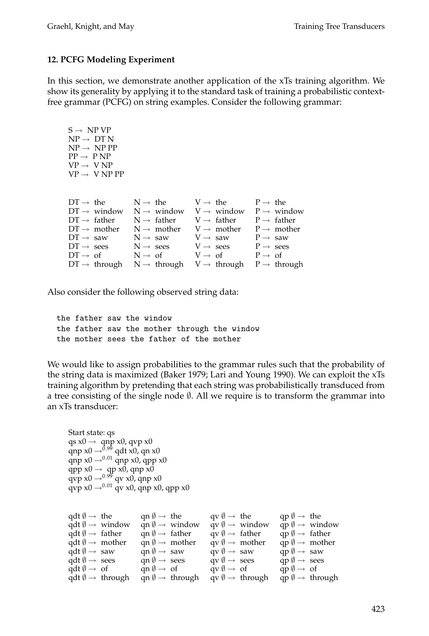#### **12. PCFG Modeling Experiment**

In this section, we demonstrate another application of the xTs training algorithm. We show its generality by applying it to the standard task of training a probabilistic contextfree grammar (PCFG) on string examples. Consider the following grammar:

| $S \rightarrow NP VP$<br>$NP \rightarrow DTN$<br>$NP \rightarrow NP PP$<br>$PP \rightarrow P NP$<br>$VP \rightarrow VNP$<br>$VP \rightarrow VNP PP$                                                                |                                                                                                                                                                                                                                                                                 |                                                                                                                                                                               |                                                                                                                                                        |
|--------------------------------------------------------------------------------------------------------------------------------------------------------------------------------------------------------------------|---------------------------------------------------------------------------------------------------------------------------------------------------------------------------------------------------------------------------------------------------------------------------------|-------------------------------------------------------------------------------------------------------------------------------------------------------------------------------|--------------------------------------------------------------------------------------------------------------------------------------------------------|
| $DT \rightarrow the$<br>$DT \rightarrow$ window<br>$DT \rightarrow father$<br>$DT \rightarrow$ mother<br>$DT \rightarrow saw$<br>$DT \rightarrow sees$<br>$DT \rightarrow \text{ of }$<br>$DT \rightarrow$ through | $N \rightarrow h$ e<br>$N \rightarrow$ window<br>$N \rightarrow$ father $V \rightarrow$ father $P \rightarrow$ father<br>$N \rightarrow$ mother $V \rightarrow$ mother<br>$N \rightarrow saw$<br>$N \rightarrow$ sees<br>$N \rightarrow \text{ of }$<br>$N \rightarrow through$ | $V \rightarrow$ the<br>$V \rightarrow$ window $P \rightarrow$ window<br>$V \rightarrow saw$<br>$V \rightarrow$ sees<br>$V \rightarrow \text{ of }$<br>$V \rightarrow through$ | $P \rightarrow$ the<br>$P \rightarrow$ mother<br>$P \rightarrow saw$<br>$P \rightarrow$ sees<br>$P \rightarrow \text{ of }$<br>$P \rightarrow through$ |

Also consider the following observed string data:

the father saw the window the father saw the mother through the window the mother sees the father of the mother

We would like to assign probabilities to the grammar rules such that the probability of the string data is maximized (Baker 1979; Lari and Young 1990). We can exploit the xTs training algorithm by pretending that each string was probabilistically transduced from a tree consisting of the single node  $\emptyset$ . All we require is to transform the grammar into an xTs transducer:

```
Start state: qs
qs x0 \rightarrow qnp x0, qvp x0
qnp x0 \rightarrow<sup>0.99</sup> qdt x0, qn x0
qnp x0 \rightarrow<sup>0.01</sup> qnp x0, qpp x0
qpp x0 \rightarrow qp x0, qnp x0qvp x0 \rightarrow 0.99 qv x0, qnp x0
qvp x0 \rightarrow 0.01 qv x0, qnp x0, qpp x0
```

| $qdt \emptyset \rightarrow the$         |                                     | $\text{gn } \emptyset \to \text{ the } \text{gr } \emptyset \to \text{ the }$ |                                              | $qp \nvert \theta \rightarrow$ the        |
|-----------------------------------------|-------------------------------------|-------------------------------------------------------------------------------|----------------------------------------------|-------------------------------------------|
|                                         | $qdt \emptyset \rightarrow$ window  | $qn \emptyset \rightarrow window$                                             | $qv \(\emptyset \rightarrow$ window          | $qp \emptyset \rightarrow window$         |
| $qdt \emptyset \rightarrow father$      |                                     | $qn \emptyset \rightarrow father$                                             | $qv \(\emptyset \rightarrow \text{father})$  | $qp \emptyset \rightarrow$ father         |
| $qdt \emptyset \rightarrow$ mother      |                                     | $qn \emptyset \rightarrow mother$                                             | $qv \(\emptyset \rightarrow \text{mother})$  | $qp \&arrow \text{mother}$                |
| $qdt \emptyset \rightarrow saw$         |                                     | $qn \theta \rightarrow saw$                                                   | $qv \nvert \theta \rightarrow saw$           | $qp \nvert \theta \rightarrow saw$        |
| $qdt \emptyset \rightarrow$ sees        |                                     | $qn \emptyset \rightarrow sees$                                               | $qv \emptyset \rightarrow sees$              | $qp \emptyset \rightarrow sees$           |
| $qdt \emptyset \rightarrow \text{ of }$ |                                     | $qn \emptyset \rightarrow of$                                                 | $qv \emptyset \rightarrow \text{ of }$       | $qp \emptyset \rightarrow of$             |
|                                         | $qdt \emptyset \rightarrow through$ | $qn \emptyset \rightarrow \text{through}$                                     | $qv \(\emptyset \rightarrow \theta)$ through | $qp \emptyset \rightarrow \text{through}$ |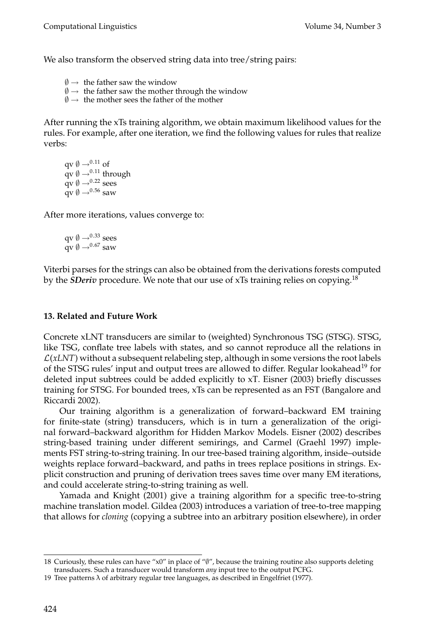We also transform the observed string data into tree/string pairs:

- $\emptyset \rightarrow$  the father saw the window
- $\emptyset \rightarrow$  the father saw the mother through the window
- $\emptyset \rightarrow$  the mother sees the father of the mother

After running the xTs training algorithm, we obtain maximum likelihood values for the rules. For example, after one iteration, we find the following values for rules that realize verbs:

qv  $\emptyset \rightarrow 0.11$  of  $qv \otimes \rightarrow ^{0.11}$  through  $\mathbf{q} \mathbf{v} \emptyset \rightarrow 0.22$  sees  $qv \emptyset \rightarrow ^{0.56}$  saw

After more iterations, values converge to:

qv  $\emptyset \rightarrow ^{0.33}$  sees  $qv \n\begin{bmatrix} 1 \\ 9 \end{bmatrix}$   $\rightarrow ^{0.67}$  saw

Viterbi parses for the strings can also be obtained from the derivations forests computed by the *SDeriv* procedure. We note that our use of xTs training relies on copying.<sup>18</sup>

# **13. Related and Future Work**

Concrete xLNT transducers are similar to (weighted) Synchronous TSG (STSG). STSG, like TSG, conflate tree labels with states, and so cannot reproduce all the relations in  $\mathcal{L}(xLNT)$  without a subsequent relabeling step, although in some versions the root labels of the STSG rules' input and output trees are allowed to differ. Regular lookahead<sup>19</sup> for deleted input subtrees could be added explicitly to xT. Eisner (2003) briefly discusses training for STSG. For bounded trees, xTs can be represented as an FST (Bangalore and Riccardi 2002).

Our training algorithm is a generalization of forward–backward EM training for finite-state (string) transducers, which is in turn a generalization of the original forward–backward algorithm for Hidden Markov Models. Eisner (2002) describes string-based training under different semirings, and Carmel (Graehl 1997) implements FST string-to-string training. In our tree-based training algorithm, inside–outside weights replace forward–backward, and paths in trees replace positions in strings. Explicit construction and pruning of derivation trees saves time over many EM iterations, and could accelerate string-to-string training as well.

Yamada and Knight (2001) give a training algorithm for a specific tree-to-string machine translation model. Gildea (2003) introduces a variation of tree-to-tree mapping that allows for *cloning* (copying a subtree into an arbitrary position elsewhere), in order

<sup>18</sup> Curiously, these rules can have "x0" in place of "∅", because the training routine also supports deleting transducers. Such a transducer would transform *any* input tree to the output PCFG.

<sup>19</sup> Tree patterns  $\lambda$  of arbitrary regular tree languages, as described in Engelfriet (1977).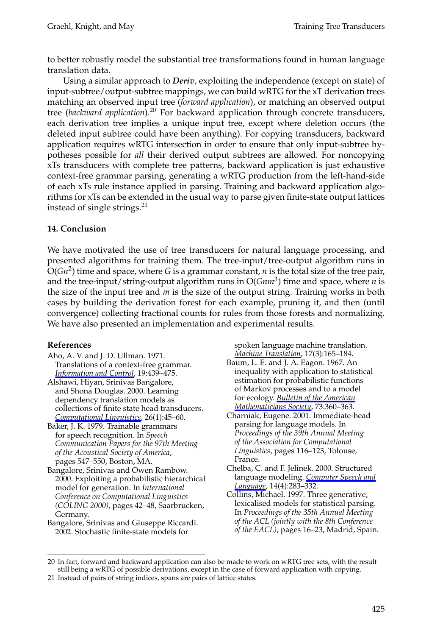to better robustly model the substantial tree transformations found in human language translation data.

Using a similar approach to *Deriv*, exploiting the independence (except on state) of input-subtree/output-subtree mappings, we can build wRTG for the xT derivation trees matching an observed input tree (*forward application*), or matching an observed output tree (*backward application*).<sup>20</sup> For backward application through concrete transducers, each derivation tree implies a unique input tree, except where deletion occurs (the deleted input subtree could have been anything). For copying transducers, backward application requires wRTG intersection in order to ensure that only input-subtree hypotheses possible for *all* their derived output subtrees are allowed. For noncopying xTs transducers with complete tree patterns, backward application is just exhaustive context-free grammar parsing, generating a wRTG production from the left-hand-side of each xTs rule instance applied in parsing. Training and backward application algorithms for xTs can be extended in the usual way to parse given finite-state output lattices instead of single strings.<sup>21</sup>

#### **14. Conclusion**

We have motivated the use of tree transducers for natural language processing, and presented algorithms for training them. The tree-input/tree-output algorithm runs in  $O(Gn^2)$  time and space, where *G* is a grammar constant, *n* is the total size of the tree pair, and the tree-input/string-output algorithm runs in  $O(Gnm^3)$  time and space, where *n* is the size of the input tree and *m* is the size of the output string. Training works in both cases by building the derivation forest for each example, pruning it, and then (until convergence) collecting fractional counts for rules from those forests and normalizing. We have also presented an implementation and experimental results.

#### **References**

- Aho, A. V. and J. D. Ullman. 1971. Translations of a context-free grammar. *Information and Control*, 19:439–475. Alshawi, Hiyan, Srinivas Bangalore,
- and Shona Douglas. 2000. Learning dependency translation models as collections of finite state head transducers. *Computational Linguistics*, 26(1):45–60.

Baker, J. K. 1979. Trainable grammars for speech recognition. In *Speech Communication Papers for the 97th Meeting of the Acoustical Society of America*, pages 547–550, Boston, MA.

Bangalore, Srinivas and Owen Rambow. 2000. Exploiting a probabilistic hierarchical model for generation. In *International Conference on Computational Linguistics (COLING 2000)*, pages 42–48, Saarbrucken, Germany.

Bangalore, Srinivas and Giuseppe Riccardi. 2002. Stochastic finite-state models for

spoken language machine translation. *Machine Translation*, 17(3):165–184. Baum, L. E. and J. A. Eagon. 1967. An inequality with application to statistical estimation for probabilistic functions of Markov processes and to a model

- for ecology. *Bulletin of the American Mathematicians Society*, 73:360–363.
- Charniak, Eugene. 2001. Immediate-head parsing for language models. In *Proceedings of the 39th Annual Meeting of the Association for Computational Linguistics*, pages 116–123, Tolouse, France.
- Chelba, C. and F. Jelinek. 2000. Structured language modeling. *Computer Speech and Language*, 14(4):283–332.
- Collins, Michael. 1997. Three generative, lexicalised models for statistical parsing. In *Proceedings of the 35th Annual Meeting of the ACL (jointly with the 8th Conference of the EACL)*, pages 16–23, Madrid, Spain.

<sup>20</sup> In fact, forward and backward application can also be made to work on wRTG tree sets, with the result still being a wRTG of possible derivations, except in the case of forward application with copying.

<sup>21</sup> Instead of pairs of string indices, spans are pairs of lattice states.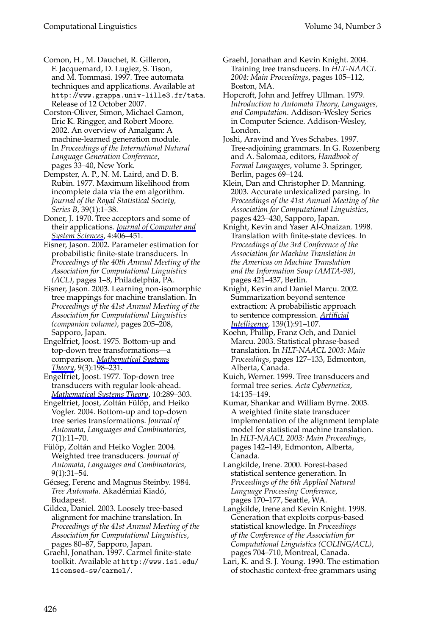#### Computational Linguistics Volume 34, Number 3

- Comon, H., M. Dauchet, R. Gilleron, F. Jacquemard, D. Lugiez, S. Tison, and M. Tommasi. 1997. Tree automata techniques and applications. Available at http://www.grappa.univ-lille3.fr/tata. Release of 12 October 2007.
- Corston-Oliver, Simon, Michael Gamon, Eric K. Ringger, and Robert Moore. 2002. An overview of Amalgam: A machine-learned generation module. In *Proceedings of the International Natural Language Generation Conference*, pages 33–40, New York.
- Dempster, A. P., N. M. Laird, and D. B. Rubin. 1977. Maximum likelihood from incomplete data via the em algorithm. *Journal of the Royal Statistical Society, Series B*, 39(1):1–38.
- Doner, J. 1970. Tree acceptors and some of their applications. *Journal of Computer and System Sciences*, 4:406–451.
- Eisner, Jason. 2002. Parameter estimation for probabilistic finite-state transducers. In *Proceedings of the 40th Annual Meeting of the Association for Computational Linguistics (ACL)*, pages 1–8, Philadelphia, PA.
- Eisner, Jason. 2003. Learning non-isomorphic tree mappings for machine translation. In *Proceedings of the 41st Annual Meeting of the Association for Computational Linguistics (companion volume)*, pages 205–208, Sapporo, Japan.
- Engelfriet, Joost. 1975. Bottom-up and top-down tree transformations—a comparison. *Mathematical Systems Theory*, 9(3):198–231.
- Engelfriet, Joost. 1977. Top-down tree transducers with regular look-ahead. *Mathematical Systems Theory*, 10:289–303.
- Engelfriet, Joost, Zoltán Fülöp, and Heiko Vogler. 2004. Bottom-up and top-down tree series transformations. *Journal of Automata, Languages and Combinatorics*, 7(1):11–70.
- Fülöp, Zoltán and Heiko Vogler. 2004. Weighted tree transducers. *Journal of Automata, Languages and Combinatorics*, 9(1):31–54.
- Gécseg, Ferenc and Magnus Steinby. 1984. *Tree Automata*. Akadémiai Kiadó, Budapest.
- Gildea, Daniel. 2003. Loosely tree-based alignment for machine translation. In *Proceedings of the 41st Annual Meeting of the Association for Computational Linguistics*, pages 80–87, Sapporo, Japan.
- Graehl, Jonathan. 1997. Carmel finite-state toolkit. Available at http://www.isi.edu/ licensed-sw/carmel/.
- Graehl, Jonathan and Kevin Knight. 2004. Training tree transducers. In *HLT-NAACL 2004: Main Proceedings*, pages 105–112, Boston, MA.
- Hopcroft, John and Jeffrey Ullman. 1979. *Introduction to Automata Theory, Languages, and Computation*. Addison-Wesley Series in Computer Science. Addison-Wesley, London.
- Joshi, Aravind and Yves Schabes. 1997. Tree-adjoining grammars. In G. Rozenberg and A. Salomaa, editors, *Handbook of Formal Languages*, volume 3. Springer, Berlin, pages 69-124.
- Klein, Dan and Christopher D. Manning. 2003. Accurate unlexicalized parsing. In *Proceedings of the 41st Annual Meeting of the Association for Computational Linguistics*, pages 423–430, Sapporo, Japan.
- Knight, Kevin and Yaser Al-Onaizan. 1998. Translation with finite-state devices. In *Proceedings of the 3rd Conference of the Association for Machine Translation in the Americas on Machine Translation and the Information Soup (AMTA-98)*, pages 421–437, Berlin.
- Knight, Kevin and Daniel Marcu. 2002. Summarization beyond sentence extraction: A probabilistic approach to sentence compression. *Artificial Intelligence*, 139(1):91–107.
- Koehn, Phillip, Franz Och, and Daniel Marcu. 2003. Statistical phrase-based translation. In *HLT-NAACL 2003: Main Proceedings*, pages 127–133, Edmonton, Alberta, Canada.
- Kuich, Werner. 1999. Tree transducers and formal tree series. *Acta Cybernetica*, 14:135–149.
- Kumar, Shankar and William Byrne. 2003. A weighted finite state transducer implementation of the alignment template model for statistical machine translation. In *HLT-NAACL 2003: Main Proceedings*, pages 142–149, Edmonton, Alberta, Canada.
- Langkilde, Irene. 2000. Forest-based statistical sentence generation. In *Proceedings of the 6th Applied Natural Language Processing Conference*, pages 170–177, Seattle, WA.
- Langkilde, Irene and Kevin Knight. 1998. Generation that exploits corpus-based statistical knowledge. In *Proceedings of the Conference of the Association for Computational Linguistics (COLING/ACL)*, pages 704–710, Montreal, Canada.
- Lari, K. and S. J. Young. 1990. The estimation of stochastic context-free grammars using